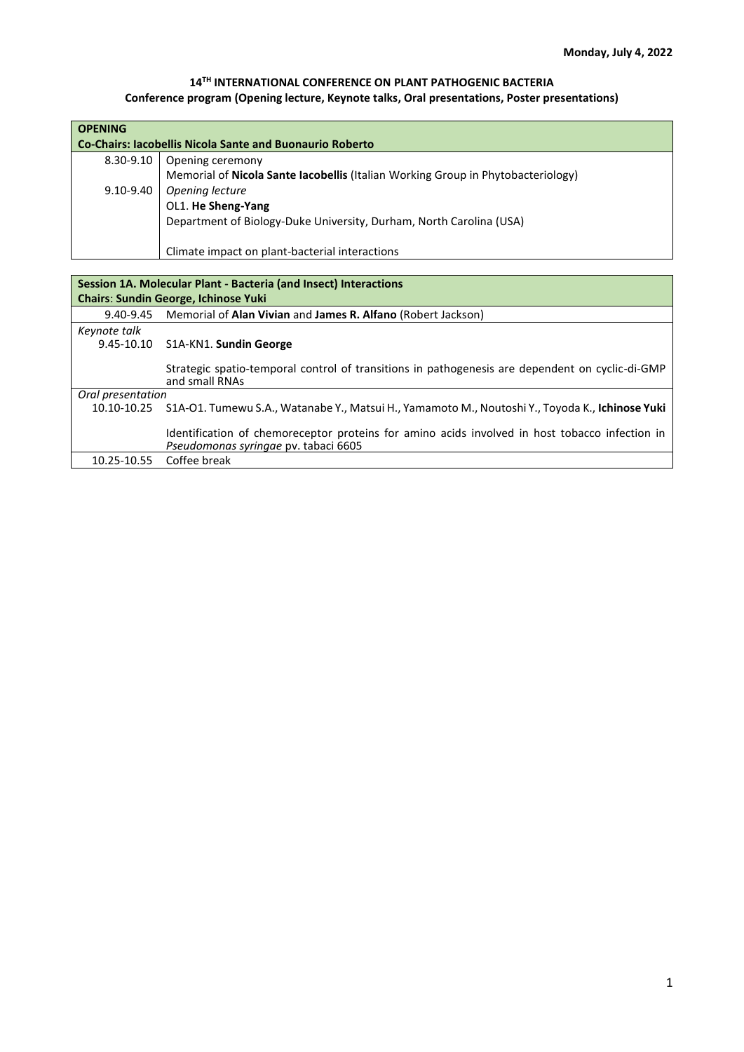## **14TH INTERNATIONAL CONFERENCE ON PLANT PATHOGENIC BACTERIA**

## **Conference program (Opening lecture, Keynote talks, Oral presentations, Poster presentations)**

| <b>OPENING</b><br><b>Co-Chairs: Iacobellis Nicola Sante and Buonaurio Roberto</b> |                                                                                  |
|-----------------------------------------------------------------------------------|----------------------------------------------------------------------------------|
| $8.30 - 9.10$                                                                     | Opening ceremony                                                                 |
|                                                                                   | Memorial of Nicola Sante Iacobellis (Italian Working Group in Phytobacteriology) |
| 9.10-9.40                                                                         | Opening lecture                                                                  |
|                                                                                   | OL1. He Sheng-Yang                                                               |
|                                                                                   | Department of Biology-Duke University, Durham, North Carolina (USA)              |
|                                                                                   | Climate impact on plant-bacterial interactions                                   |

| Session 1A. Molecular Plant - Bacteria (and Insect) Interactions |                                                                                                                                        |  |
|------------------------------------------------------------------|----------------------------------------------------------------------------------------------------------------------------------------|--|
| <b>Chairs: Sundin George, Ichinose Yuki</b>                      |                                                                                                                                        |  |
| 9.40-9.45                                                        | Memorial of Alan Vivian and James R. Alfano (Robert Jackson)                                                                           |  |
| Keynote talk                                                     |                                                                                                                                        |  |
|                                                                  | 9.45-10.10 S1A-KN1. Sundin George                                                                                                      |  |
|                                                                  | Strategic spatio-temporal control of transitions in pathogenesis are dependent on cyclic-di-GMP<br>and small RNAs                      |  |
| Oral presentation                                                |                                                                                                                                        |  |
| 10.10-10.25                                                      | S1A-O1. Tumewu S.A., Watanabe Y., Matsui H., Yamamoto M., Noutoshi Y., Toyoda K., Ichinose Yuki                                        |  |
|                                                                  | Identification of chemoreceptor proteins for amino acids involved in host tobacco infection in<br>Pseudomonas syringae pv. tabaci 6605 |  |
|                                                                  | 10.25-10.55 Coffee break                                                                                                               |  |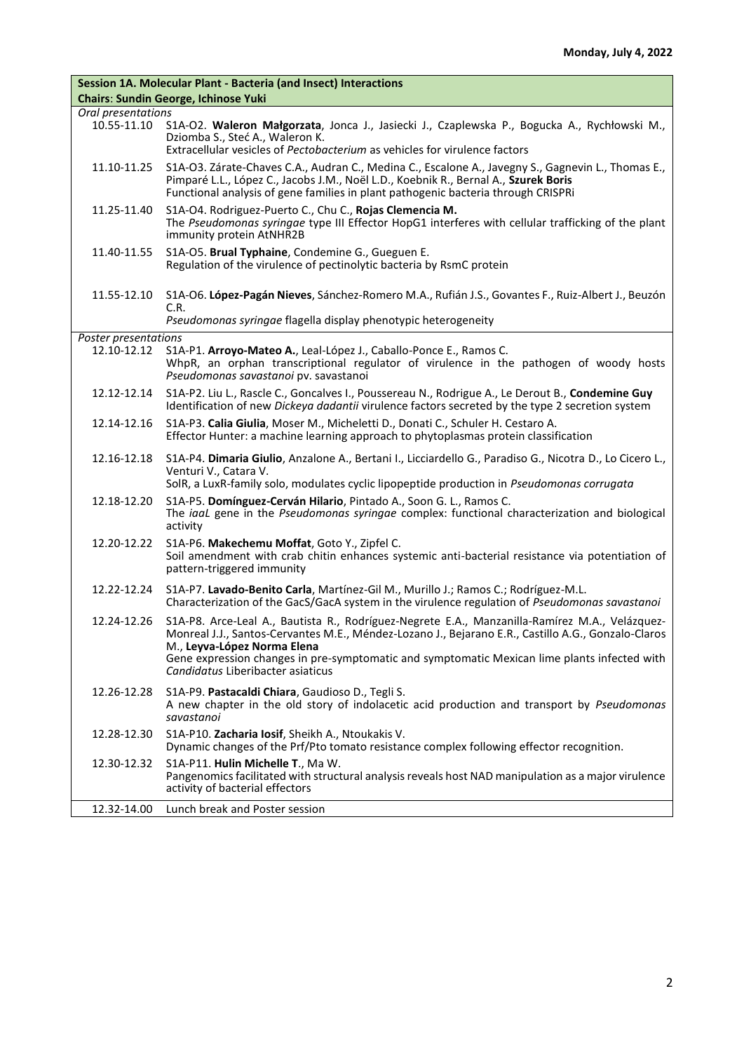| Session 1A. Molecular Plant - Bacteria (and Insect) Interactions |                                                                                                                                                                                                                                                                                |
|------------------------------------------------------------------|--------------------------------------------------------------------------------------------------------------------------------------------------------------------------------------------------------------------------------------------------------------------------------|
| <b>Chairs: Sundin George, Ichinose Yuki</b>                      |                                                                                                                                                                                                                                                                                |
| Oral presentations<br>10.55-11.10                                | S1A-O2. Waleron Małgorzata, Jonca J., Jasiecki J., Czaplewska P., Bogucka A., Rychłowski M.,<br>Dziomba S., Steć A., Waleron K.<br>Extracellular vesicles of Pectobacterium as vehicles for virulence factors                                                                  |
| 11.10-11.25                                                      | S1A-O3. Zárate-Chaves C.A., Audran C., Medina C., Escalone A., Javegny S., Gagnevin L., Thomas E.,<br>Pimparé L.L., López C., Jacobs J.M., Noël L.D., Koebnik R., Bernal A., Szurek Boris<br>Functional analysis of gene families in plant pathogenic bacteria through CRISPRi |
| 11.25-11.40                                                      | S1A-O4. Rodriguez-Puerto C., Chu C., Rojas Clemencia M.<br>The Pseudomonas syringae type III Effector HopG1 interferes with cellular trafficking of the plant<br>immunity protein AtNHR2B                                                                                      |
| 11.40-11.55                                                      | S1A-O5. Brual Typhaine, Condemine G., Gueguen E.<br>Regulation of the virulence of pectinolytic bacteria by RsmC protein                                                                                                                                                       |
| 11.55-12.10                                                      | S1A-O6. López-Pagán Nieves, Sánchez-Romero M.A., Rufián J.S., Govantes F., Ruiz-Albert J., Beuzón<br>C.R.                                                                                                                                                                      |
|                                                                  | Pseudomonas syringae flagella display phenotypic heterogeneity                                                                                                                                                                                                                 |
| Poster presentations<br>12.10-12.12                              | S1A-P1. Arroyo-Mateo A., Leal-López J., Caballo-Ponce E., Ramos C.<br>WhpR, an orphan transcriptional regulator of virulence in the pathogen of woody hosts<br>Pseudomonas savastanoi pv. savastanoi                                                                           |
| 12.12-12.14                                                      | S1A-P2. Liu L., Rascle C., Goncalves I., Poussereau N., Rodrigue A., Le Derout B., Condemine Guy<br>Identification of new Dickeya dadantii virulence factors secreted by the type 2 secretion system                                                                           |
| 12.14-12.16                                                      | S1A-P3. Calia Giulia, Moser M., Micheletti D., Donati C., Schuler H. Cestaro A.<br>Effector Hunter: a machine learning approach to phytoplasmas protein classification                                                                                                         |
| 12.16-12.18                                                      | S1A-P4. Dimaria Giulio, Anzalone A., Bertani I., Licciardello G., Paradiso G., Nicotra D., Lo Cicero L.,<br>Venturi V., Catara V.<br>SolR, a LuxR-family solo, modulates cyclic lipopeptide production in Pseudomonas corrugata                                                |
| 12.18-12.20                                                      | S1A-P5. Domínguez-Cerván Hilario, Pintado A., Soon G. L., Ramos C.<br>The iaal gene in the Pseudomonas syringae complex: functional characterization and biological<br>activity                                                                                                |
| 12.20-12.22                                                      | S1A-P6. Makechemu Moffat, Goto Y., Zipfel C.<br>Soil amendment with crab chitin enhances systemic anti-bacterial resistance via potentiation of<br>pattern-triggered immunity                                                                                                  |
| 12.22-12.24                                                      | S1A-P7. Lavado-Benito Carla, Martínez-Gil M., Murillo J.; Ramos C.; Rodríguez-M.L.<br>Characterization of the GacS/GacA system in the virulence regulation of Pseudomonas savastanoi                                                                                           |
| 12.24-12.26                                                      | S1A-P8. Arce-Leal A., Bautista R., Rodríguez-Negrete E.A., Manzanilla-Ramírez M.A., Velázquez-<br>Monreal J.J., Santos-Cervantes M.E., Méndez-Lozano J., Bejarano E.R., Castillo A.G., Gonzalo-Claros<br>M., Leyva-López Norma Elena                                           |
|                                                                  | Gene expression changes in pre-symptomatic and symptomatic Mexican lime plants infected with<br>Candidatus Liberibacter asiaticus                                                                                                                                              |
| 12.26-12.28                                                      | S1A-P9. Pastacaldi Chiara, Gaudioso D., Tegli S.<br>A new chapter in the old story of indolacetic acid production and transport by Pseudomonas<br>savastanoi                                                                                                                   |
| 12.28-12.30                                                      | S1A-P10. Zacharia losif, Sheikh A., Ntoukakis V.<br>Dynamic changes of the Prf/Pto tomato resistance complex following effector recognition.                                                                                                                                   |
| 12.30-12.32                                                      | S1A-P11. Hulin Michelle T., Ma W.<br>Pangenomics facilitated with structural analysis reveals host NAD manipulation as a major virulence<br>activity of bacterial effectors                                                                                                    |
| 12.32-14.00                                                      | Lunch break and Poster session                                                                                                                                                                                                                                                 |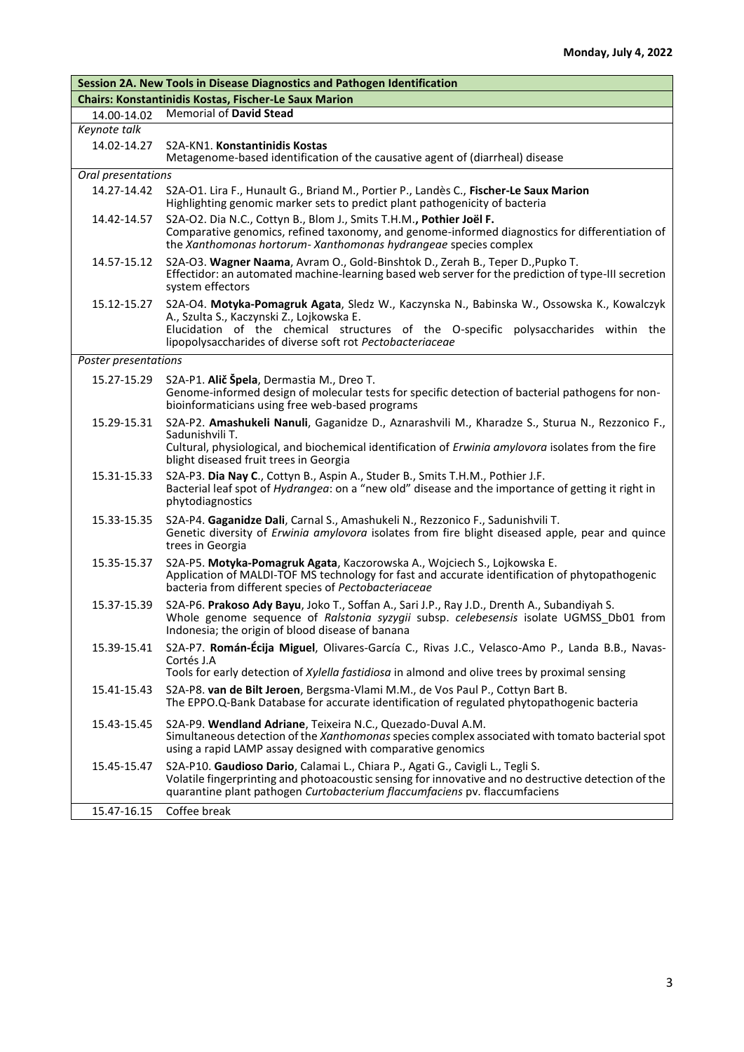| Session 2A. New Tools in Disease Diagnostics and Pathogen Identification |                                                                                                                                                                                                                                                                                             |
|--------------------------------------------------------------------------|---------------------------------------------------------------------------------------------------------------------------------------------------------------------------------------------------------------------------------------------------------------------------------------------|
|                                                                          | <b>Chairs: Konstantinidis Kostas, Fischer-Le Saux Marion</b>                                                                                                                                                                                                                                |
| 14.00-14.02                                                              | <b>Memorial of David Stead</b>                                                                                                                                                                                                                                                              |
| Keynote talk                                                             |                                                                                                                                                                                                                                                                                             |
| 14.02-14.27                                                              | S2A-KN1. Konstantinidis Kostas<br>Metagenome-based identification of the causative agent of (diarrheal) disease                                                                                                                                                                             |
| Oral presentations                                                       |                                                                                                                                                                                                                                                                                             |
| 14.27-14.42                                                              | S2A-O1. Lira F., Hunault G., Briand M., Portier P., Landès C., Fischer-Le Saux Marion<br>Highlighting genomic marker sets to predict plant pathogenicity of bacteria                                                                                                                        |
| 14.42-14.57                                                              | S2A-O2. Dia N.C., Cottyn B., Blom J., Smits T.H.M., Pothier Joël F.<br>Comparative genomics, refined taxonomy, and genome-informed diagnostics for differentiation of<br>the Xanthomonas hortorum- Xanthomonas hydrangeae species complex                                                   |
| 14.57-15.12                                                              | S2A-O3. Wagner Naama, Avram O., Gold-Binshtok D., Zerah B., Teper D., Pupko T.<br>Effectidor: an automated machine-learning based web server for the prediction of type-III secretion<br>system effectors                                                                                   |
| 15.12-15.27                                                              | S2A-O4. Motyka-Pomagruk Agata, Sledz W., Kaczynska N., Babinska W., Ossowska K., Kowalczyk<br>A., Szulta S., Kaczynski Z., Lojkowska E.<br>Elucidation of the chemical structures of the O-specific polysaccharides within the<br>lipopolysaccharides of diverse soft rot Pectobacteriaceae |
| Poster presentations                                                     |                                                                                                                                                                                                                                                                                             |
|                                                                          | S2A-P1. Alič Špela, Dermastia M., Dreo T.                                                                                                                                                                                                                                                   |
| 15.27-15.29                                                              | Genome-informed design of molecular tests for specific detection of bacterial pathogens for non-<br>bioinformaticians using free web-based programs                                                                                                                                         |
| 15.29-15.31                                                              | S2A-P2. Amashukeli Nanuli, Gaganidze D., Aznarashvili M., Kharadze S., Sturua N., Rezzonico F.,<br>Sadunishvili T.<br>Cultural, physiological, and biochemical identification of Erwinia amylovora isolates from the fire<br>blight diseased fruit trees in Georgia                         |
| 15.31-15.33                                                              | S2A-P3. Dia Nay C., Cottyn B., Aspin A., Studer B., Smits T.H.M., Pothier J.F.<br>Bacterial leaf spot of <i>Hydrangea</i> : on a "new old" disease and the importance of getting it right in<br>phytodiagnostics                                                                            |
| 15.33-15.35                                                              | S2A-P4. Gaganidze Dali, Carnal S., Amashukeli N., Rezzonico F., Sadunishvili T.<br>Genetic diversity of Erwinia amylovora isolates from fire blight diseased apple, pear and quince<br>trees in Georgia                                                                                     |
| 15.35-15.37                                                              | S2A-P5. Motyka-Pomagruk Agata, Kaczorowska A., Wojciech S., Lojkowska E.<br>Application of MALDI-TOF MS technology for fast and accurate identification of phytopathogenic<br>bacteria from different species of Pectobacteriaceae                                                          |
| 15.37-15.39                                                              | S2A-P6. Prakoso Ady Bayu, Joko T., Soffan A., Sari J.P., Ray J.D., Drenth A., Subandiyah S.<br>Whole genome sequence of Ralstonia syzygii subsp. celebesensis isolate UGMSS_Db01 from<br>Indonesia; the origin of blood disease of banana                                                   |
| 15.39-15.41                                                              | S2A-P7. Román-Écija Miguel, Olivares-García C., Rivas J.C., Velasco-Amo P., Landa B.B., Navas-<br>Cortés J.A                                                                                                                                                                                |
|                                                                          | Tools for early detection of Xylella fastidiosa in almond and olive trees by proximal sensing                                                                                                                                                                                               |
| 15.41-15.43                                                              | S2A-P8. van de Bilt Jeroen, Bergsma-Vlami M.M., de Vos Paul P., Cottyn Bart B.<br>The EPPO.Q-Bank Database for accurate identification of regulated phytopathogenic bacteria                                                                                                                |
| 15.43-15.45                                                              | S2A-P9. Wendland Adriane, Teixeira N.C., Quezado-Duval A.M.<br>Simultaneous detection of the Xanthomonas species complex associated with tomato bacterial spot<br>using a rapid LAMP assay designed with comparative genomics                                                               |
| 15.45-15.47                                                              | S2A-P10. Gaudioso Dario, Calamai L., Chiara P., Agati G., Cavigli L., Tegli S.<br>Volatile fingerprinting and photoacoustic sensing for innovative and no destructive detection of the<br>quarantine plant pathogen Curtobacterium flaccumfaciens pv. flaccumfaciens                        |
| 15.47-16.15                                                              | Coffee break                                                                                                                                                                                                                                                                                |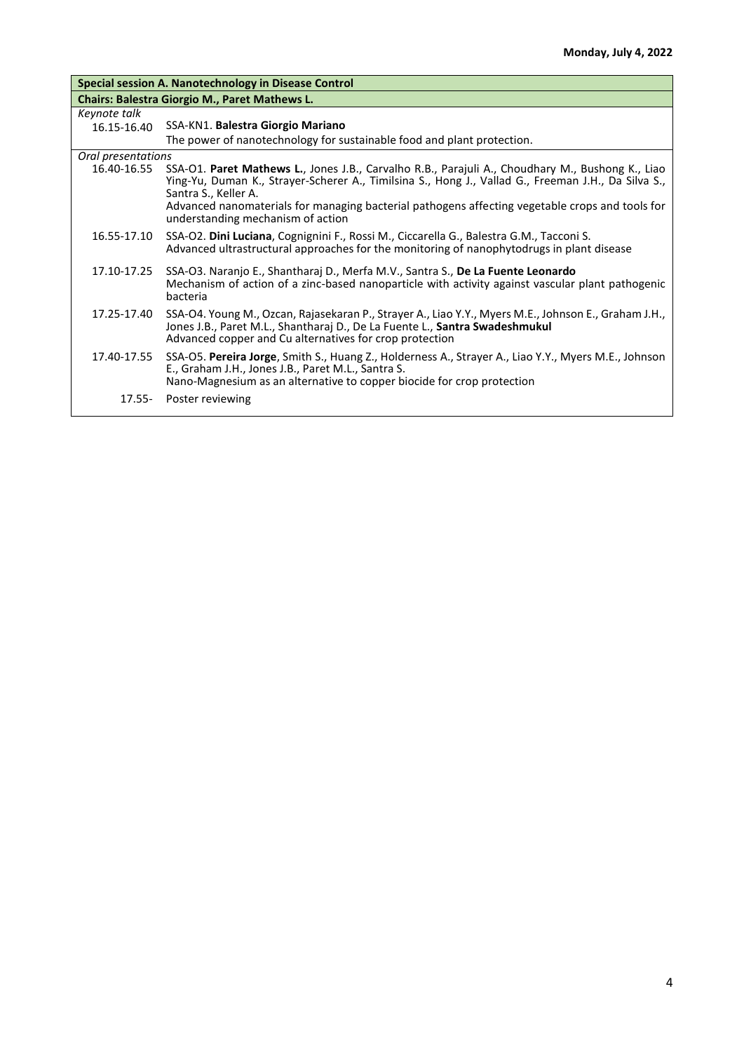| Special session A. Nanotechnology in Disease Control |                                                                                                                                                                                                                                                                                                                                                                         |  |
|------------------------------------------------------|-------------------------------------------------------------------------------------------------------------------------------------------------------------------------------------------------------------------------------------------------------------------------------------------------------------------------------------------------------------------------|--|
| <b>Chairs: Balestra Giorgio M., Paret Mathews L.</b> |                                                                                                                                                                                                                                                                                                                                                                         |  |
| Keynote talk                                         |                                                                                                                                                                                                                                                                                                                                                                         |  |
| 16.15-16.40                                          | SSA-KN1. Balestra Giorgio Mariano                                                                                                                                                                                                                                                                                                                                       |  |
|                                                      | The power of nanotechnology for sustainable food and plant protection.                                                                                                                                                                                                                                                                                                  |  |
| Oral presentations                                   |                                                                                                                                                                                                                                                                                                                                                                         |  |
| 16.40-16.55                                          | SSA-O1. Paret Mathews L., Jones J.B., Carvalho R.B., Parajuli A., Choudhary M., Bushong K., Liao<br>Ying-Yu, Duman K., Strayer-Scherer A., Timilsina S., Hong J., Vallad G., Freeman J.H., Da Silva S.,<br>Santra S., Keller A.<br>Advanced nanomaterials for managing bacterial pathogens affecting vegetable crops and tools for<br>understanding mechanism of action |  |
| 16.55-17.10                                          | SSA-O2. Dini Luciana, Cognignini F., Rossi M., Ciccarella G., Balestra G.M., Tacconi S.<br>Advanced ultrastructural approaches for the monitoring of nanophytodrugs in plant disease                                                                                                                                                                                    |  |
| 17.10-17.25                                          | SSA-O3. Naranjo E., Shantharaj D., Merfa M.V., Santra S., De La Fuente Leonardo<br>Mechanism of action of a zinc-based nanoparticle with activity against vascular plant pathogenic<br>bacteria                                                                                                                                                                         |  |
| 17.25-17.40                                          | SSA-O4. Young M., Ozcan, Rajasekaran P., Strayer A., Liao Y.Y., Myers M.E., Johnson E., Graham J.H.,<br>Jones J.B., Paret M.L., Shantharaj D., De La Fuente L., Santra Swadeshmukul<br>Advanced copper and Cu alternatives for crop protection                                                                                                                          |  |
| 17.40-17.55                                          | SSA-O5. Pereira Jorge, Smith S., Huang Z., Holderness A., Strayer A., Liao Y.Y., Myers M.E., Johnson<br>E., Graham J.H., Jones J.B., Paret M.L., Santra S.<br>Nano-Magnesium as an alternative to copper biocide for crop protection                                                                                                                                    |  |
| 17.55-                                               | Poster reviewing                                                                                                                                                                                                                                                                                                                                                        |  |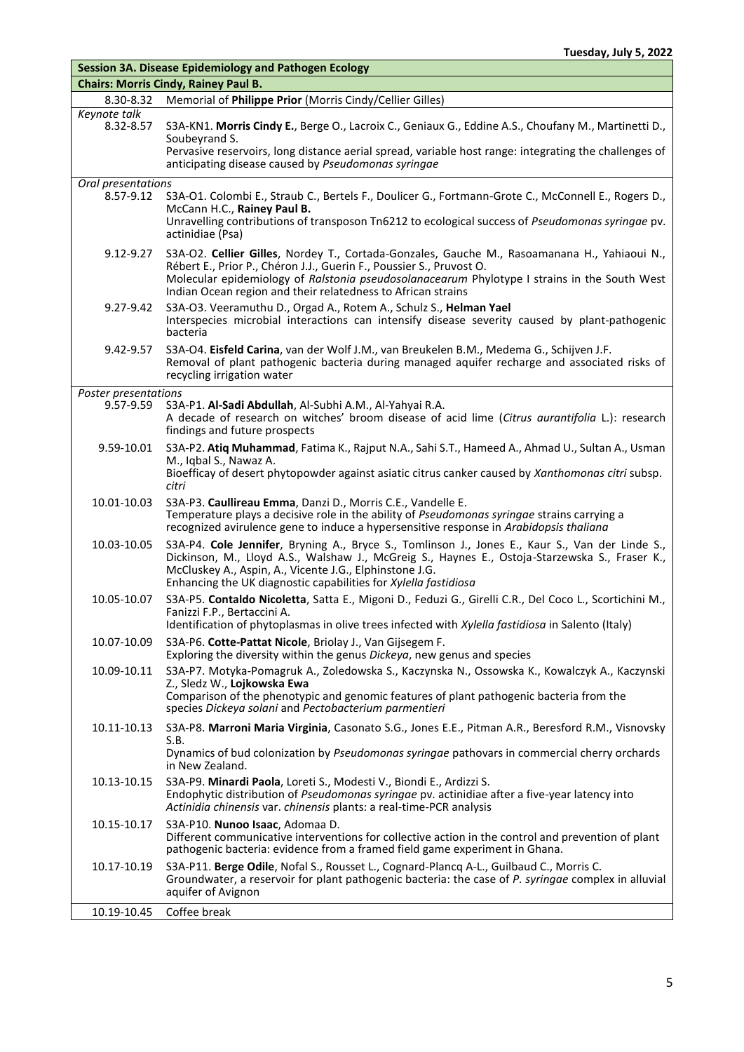| <b>Session 3A. Disease Epidemiology and Pathogen Ecology</b> |                                                                                                                                                                                                                                                                                                                                      |
|--------------------------------------------------------------|--------------------------------------------------------------------------------------------------------------------------------------------------------------------------------------------------------------------------------------------------------------------------------------------------------------------------------------|
|                                                              | <b>Chairs: Morris Cindy, Rainey Paul B.</b>                                                                                                                                                                                                                                                                                          |
| 8.30-8.32                                                    | Memorial of Philippe Prior (Morris Cindy/Cellier Gilles)                                                                                                                                                                                                                                                                             |
| Keynote talk<br>8.32-8.57                                    | S3A-KN1. Morris Cindy E., Berge O., Lacroix C., Geniaux G., Eddine A.S., Choufany M., Martinetti D.,<br>Soubeyrand S.<br>Pervasive reservoirs, long distance aerial spread, variable host range: integrating the challenges of<br>anticipating disease caused by Pseudomonas syringae                                                |
| Oral presentations                                           |                                                                                                                                                                                                                                                                                                                                      |
| 8.57-9.12                                                    | S3A-O1. Colombi E., Straub C., Bertels F., Doulicer G., Fortmann-Grote C., McConnell E., Rogers D.,<br>McCann H.C., Rainey Paul B.<br>Unravelling contributions of transposon Tn6212 to ecological success of Pseudomonas syringae pv.<br>actinidiae (Psa)                                                                           |
| $9.12 - 9.27$                                                | S3A-O2. Cellier Gilles, Nordey T., Cortada-Gonzales, Gauche M., Rasoamanana H., Yahiaoui N.,<br>Rébert E., Prior P., Chéron J.J., Guerin F., Poussier S., Pruvost O.<br>Molecular epidemiology of Ralstonia pseudosolanacearum Phylotype I strains in the South West<br>Indian Ocean region and their relatedness to African strains |
| 9.27-9.42                                                    | S3A-O3. Veeramuthu D., Orgad A., Rotem A., Schulz S., Helman Yael<br>Interspecies microbial interactions can intensify disease severity caused by plant-pathogenic<br>bacteria                                                                                                                                                       |
| 9.42-9.57                                                    | S3A-O4. Eisfeld Carina, van der Wolf J.M., van Breukelen B.M., Medema G., Schijven J.F.<br>Removal of plant pathogenic bacteria during managed aquifer recharge and associated risks of<br>recycling irrigation water                                                                                                                |
| Poster presentations                                         |                                                                                                                                                                                                                                                                                                                                      |
| $9.57 - 9.59$                                                | S3A-P1. Al-Sadi Abdullah, Al-Subhi A.M., Al-Yahyai R.A.<br>A decade of research on witches' broom disease of acid lime (Citrus aurantifolia L.): research<br>findings and future prospects                                                                                                                                           |
| 9.59-10.01                                                   | S3A-P2. Atiq Muhammad, Fatima K., Rajput N.A., Sahi S.T., Hameed A., Ahmad U., Sultan A., Usman<br>M., Iqbal S., Nawaz A.<br>Bioefficay of desert phytopowder against asiatic citrus canker caused by Xanthomonas citri subsp.<br>citri                                                                                              |
| 10.01-10.03                                                  | S3A-P3. Caullireau Emma, Danzi D., Morris C.E., Vandelle E.<br>Temperature plays a decisive role in the ability of Pseudomonas syringae strains carrying a<br>recognized avirulence gene to induce a hypersensitive response in Arabidopsis thaliana                                                                                 |
| 10.03-10.05                                                  | S3A-P4. Cole Jennifer, Bryning A., Bryce S., Tomlinson J., Jones E., Kaur S., Van der Linde S.,<br>Dickinson, M., Lloyd A.S., Walshaw J., McGreig S., Haynes E., Ostoja-Starzewska S., Fraser K.,<br>McCluskey A., Aspin, A., Vicente J.G., Elphinstone J.G.<br>Enhancing the UK diagnostic capabilities for Xylella fastidiosa      |
| 10.05-10.07                                                  | S3A-P5. Contaldo Nicoletta, Satta E., Migoni D., Feduzi G., Girelli C.R., Del Coco L., Scortichini M.,<br>Fanizzi F.P., Bertaccini A.<br>Identification of phytoplasmas in olive trees infected with Xylella fastidiosa in Salento (Italy)                                                                                           |
| 10.07-10.09                                                  | S3A-P6. Cotte-Pattat Nicole, Briolay J., Van Gijsegem F.<br>Exploring the diversity within the genus Dickeya, new genus and species                                                                                                                                                                                                  |
| 10.09-10.11                                                  | S3A-P7. Motyka-Pomagruk A., Zoledowska S., Kaczynska N., Ossowska K., Kowalczyk A., Kaczynski<br>Z., Sledz W., Lojkowska Ewa<br>Comparison of the phenotypic and genomic features of plant pathogenic bacteria from the<br>species Dickeya solani and Pectobacterium parmentieri                                                     |
| 10.11-10.13                                                  | S3A-P8. Marroni Maria Virginia, Casonato S.G., Jones E.E., Pitman A.R., Beresford R.M., Visnovsky<br>S.B.                                                                                                                                                                                                                            |
|                                                              | Dynamics of bud colonization by Pseudomonas syringae pathovars in commercial cherry orchards<br>in New Zealand.                                                                                                                                                                                                                      |
| 10.13-10.15                                                  | S3A-P9. Minardi Paola, Loreti S., Modesti V., Biondi E., Ardizzi S.<br>Endophytic distribution of Pseudomonas syringae pv. actinidiae after a five-year latency into<br>Actinidia chinensis var. chinensis plants: a real-time-PCR analysis                                                                                          |
| 10.15-10.17                                                  | S3A-P10. Nunoo Isaac, Adomaa D.<br>Different communicative interventions for collective action in the control and prevention of plant<br>pathogenic bacteria: evidence from a framed field game experiment in Ghana.                                                                                                                 |
| 10.17-10.19                                                  | S3A-P11. Berge Odile, Nofal S., Rousset L., Cognard-Plancq A-L., Guilbaud C., Morris C.<br>Groundwater, a reservoir for plant pathogenic bacteria: the case of P. syringae complex in alluvial<br>aquifer of Avignon                                                                                                                 |
| 10.19-10.45                                                  | Coffee break                                                                                                                                                                                                                                                                                                                         |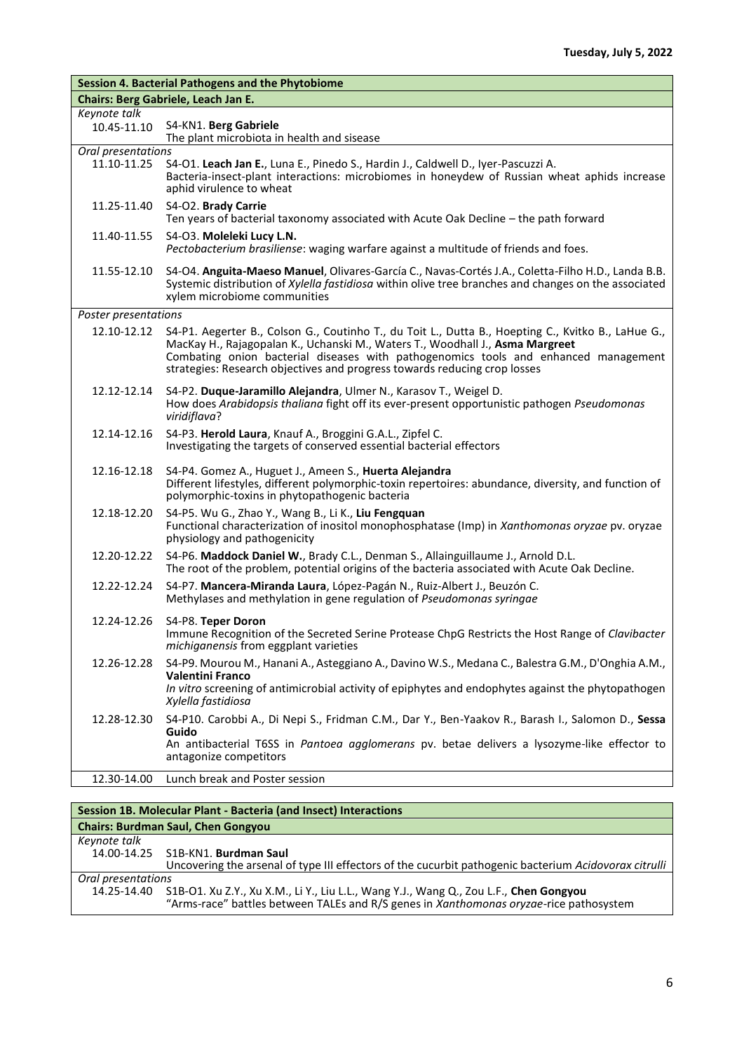|                                   | <b>Session 4. Bacterial Pathogens and the Phytobiome</b>                                                                                                                                                                                                                                                                                                 |
|-----------------------------------|----------------------------------------------------------------------------------------------------------------------------------------------------------------------------------------------------------------------------------------------------------------------------------------------------------------------------------------------------------|
|                                   | Chairs: Berg Gabriele, Leach Jan E.                                                                                                                                                                                                                                                                                                                      |
| Keynote talk                      |                                                                                                                                                                                                                                                                                                                                                          |
| 10.45-11.10                       | S4-KN1. Berg Gabriele<br>The plant microbiota in health and sisease                                                                                                                                                                                                                                                                                      |
| Oral presentations<br>11.10-11.25 | S4-01. Leach Jan E., Luna E., Pinedo S., Hardin J., Caldwell D., Iyer-Pascuzzi A.<br>Bacteria-insect-plant interactions: microbiomes in honeydew of Russian wheat aphids increase<br>aphid virulence to wheat                                                                                                                                            |
| 11.25-11.40                       | S4-O2. Brady Carrie<br>Ten years of bacterial taxonomy associated with Acute Oak Decline - the path forward                                                                                                                                                                                                                                              |
| 11.40-11.55                       | S4-O3. Moleleki Lucy L.N.<br>Pectobacterium brasiliense: waging warfare against a multitude of friends and foes.                                                                                                                                                                                                                                         |
| 11.55-12.10                       | S4-O4. Anguita-Maeso Manuel, Olivares-García C., Navas-Cortés J.A., Coletta-Filho H.D., Landa B.B.<br>Systemic distribution of Xylella fastidiosa within olive tree branches and changes on the associated<br>xylem microbiome communities                                                                                                               |
| Poster presentations              |                                                                                                                                                                                                                                                                                                                                                          |
| 12.10-12.12                       | S4-P1. Aegerter B., Colson G., Coutinho T., du Toit L., Dutta B., Hoepting C., Kvitko B., LaHue G.,<br>MacKay H., Rajagopalan K., Uchanski M., Waters T., Woodhall J., Asma Margreet<br>Combating onion bacterial diseases with pathogenomics tools and enhanced management<br>strategies: Research objectives and progress towards reducing crop losses |
| 12.12-12.14                       | S4-P2. Duque-Jaramillo Alejandra, Ulmer N., Karasov T., Weigel D.<br>How does Arabidopsis thaliana fight off its ever-present opportunistic pathogen Pseudomonas<br>viridiflava?                                                                                                                                                                         |
| 12.14-12.16                       | S4-P3. Herold Laura, Knauf A., Broggini G.A.L., Zipfel C.<br>Investigating the targets of conserved essential bacterial effectors                                                                                                                                                                                                                        |
| 12.16-12.18                       | S4-P4. Gomez A., Huguet J., Ameen S., Huerta Alejandra<br>Different lifestyles, different polymorphic-toxin repertoires: abundance, diversity, and function of<br>polymorphic-toxins in phytopathogenic bacteria                                                                                                                                         |
| 12.18-12.20                       | S4-P5. Wu G., Zhao Y., Wang B., Li K., Liu Fengquan<br>Functional characterization of inositol monophosphatase (Imp) in Xanthomonas oryzae pv. oryzae<br>physiology and pathogenicity                                                                                                                                                                    |
| 12.20-12.22                       | S4-P6. Maddock Daniel W., Brady C.L., Denman S., Allainguillaume J., Arnold D.L.<br>The root of the problem, potential origins of the bacteria associated with Acute Oak Decline.                                                                                                                                                                        |
| 12.22-12.24                       | S4-P7. Mancera-Miranda Laura, López-Pagán N., Ruiz-Albert J., Beuzón C.<br>Methylases and methylation in gene regulation of Pseudomonas syringae                                                                                                                                                                                                         |
| 12.24-12.26                       | S4-P8. Teper Doron<br>Immune Recognition of the Secreted Serine Protease ChpG Restricts the Host Range of Clavibacter<br>michiganensis from eggplant varieties                                                                                                                                                                                           |
| 12.26-12.28                       | S4-P9. Mourou M., Hanani A., Asteggiano A., Davino W.S., Medana C., Balestra G.M., D'Onghia A.M.,<br><b>Valentini Franco</b><br>In vitro screening of antimicrobial activity of epiphytes and endophytes against the phytopathogen<br>Xylella fastidiosa                                                                                                 |
| 12.28-12.30                       | S4-P10. Carobbi A., Di Nepi S., Fridman C.M., Dar Y., Ben-Yaakov R., Barash I., Salomon D., Sessa<br>Guido<br>An antibacterial T6SS in Pantoea agglomerans pv. betae delivers a lysozyme-like effector to<br>antagonize competitors                                                                                                                      |
| 12.30-14.00                       | Lunch break and Poster session                                                                                                                                                                                                                                                                                                                           |

| Session 1B. Molecular Plant - Bacteria (and Insect) Interactions |                                                                                                                                                                                 |
|------------------------------------------------------------------|---------------------------------------------------------------------------------------------------------------------------------------------------------------------------------|
| <b>Chairs: Burdman Saul, Chen Gongyou</b>                        |                                                                                                                                                                                 |
| Keynote talk                                                     |                                                                                                                                                                                 |
|                                                                  | 14.00-14.25 S1B-KN1. Burdman Saul                                                                                                                                               |
|                                                                  | Uncovering the arsenal of type III effectors of the cucurbit pathogenic bacterium Acidovorax citrulli                                                                           |
| Oral presentations                                               |                                                                                                                                                                                 |
| 14.25-14.40                                                      | S1B-O1. Xu Z.Y., Xu X.M., Li Y., Liu L.L., Wang Y.J., Wang Q., Zou L.F., Chen Gongyou<br>"Arms-race" battles between TALEs and R/S genes in Xanthomonas oryzae-rice pathosystem |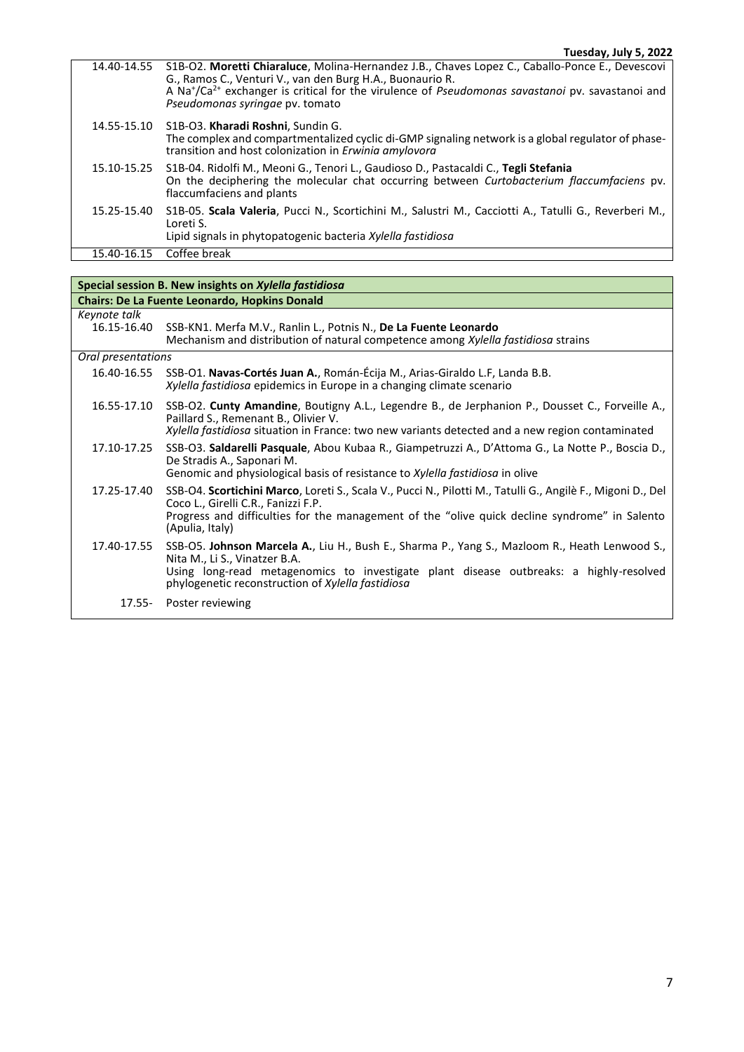| 14.40-14.55 | S1B-O2. Moretti Chiaraluce, Molina-Hernandez J.B., Chaves Lopez C., Caballo-Ponce E., Devescovi<br>G., Ramos C., Venturi V., van den Burg H.A., Buonaurio R.<br>A Na <sup>+</sup> /Ca <sup>2+</sup> exchanger is critical for the virulence of <i>Pseudomonas savastanoi</i> pv. savastanoi and<br>Pseudomonas syringae pv. tomato |
|-------------|------------------------------------------------------------------------------------------------------------------------------------------------------------------------------------------------------------------------------------------------------------------------------------------------------------------------------------|
| 14.55-15.10 | S1B-O3. Kharadi Roshni, Sundin G.<br>The complex and compartmentalized cyclic di-GMP signaling network is a global regulator of phase-<br>transition and host colonization in <i>Erwinig amylovorg</i>                                                                                                                             |
| 15.10-15.25 | S1B-04. Ridolfi M., Meoni G., Tenori L., Gaudioso D., Pastacaldi C., Tegli Stefania<br>On the deciphering the molecular chat occurring between Curtobacterium flaccumfaciens pv.<br>flaccumfaciens and plants                                                                                                                      |
| 15.25-15.40 | S1B-05. Scala Valeria, Pucci N., Scortichini M., Salustri M., Cacciotti A., Tatulli G., Reverberi M.,<br>Loreti S.<br>Lipid signals in phytopatogenic bacteria Xylella fastidiosa                                                                                                                                                  |
| 15.40-16.15 | Coffee break                                                                                                                                                                                                                                                                                                                       |

| Special session B. New insights on Xylella fastidiosa |                                                                                                                                                                                                                                                                                |
|-------------------------------------------------------|--------------------------------------------------------------------------------------------------------------------------------------------------------------------------------------------------------------------------------------------------------------------------------|
| <b>Chairs: De La Fuente Leonardo, Hopkins Donald</b>  |                                                                                                                                                                                                                                                                                |
| Keynote talk<br>16.15-16.40                           | SSB-KN1. Merfa M.V., Ranlin L., Potnis N., De La Fuente Leonardo<br>Mechanism and distribution of natural competence among Xylella fastidiosa strains                                                                                                                          |
| Oral presentations                                    |                                                                                                                                                                                                                                                                                |
| 16.40-16.55                                           | SSB-O1. Navas-Cortés Juan A., Román-Écija M., Arias-Giraldo L.F, Landa B.B.<br>Xylella fastidiosa epidemics in Europe in a changing climate scenario                                                                                                                           |
| 16.55-17.10                                           | SSB-O2. Cunty Amandine, Boutigny A.L., Legendre B., de Jerphanion P., Dousset C., Forveille A.,<br>Paillard S., Remenant B., Olivier V.<br>Xylella fastidiosa situation in France: two new variants detected and a new region contaminated                                     |
| 17.10-17.25                                           | SSB-O3. Saldarelli Pasquale, Abou Kubaa R., Giampetruzzi A., D'Attoma G., La Notte P., Boscia D.,<br>De Stradis A., Saponari M.<br>Genomic and physiological basis of resistance to Xylella fastidiosa in olive                                                                |
| 17.25-17.40                                           | SSB-O4. Scortichini Marco, Loreti S., Scala V., Pucci N., Pilotti M., Tatulli G., Angilè F., Migoni D., Del<br>Coco L., Girelli C.R., Fanizzi F.P.<br>Progress and difficulties for the management of the "olive quick decline syndrome" in Salento<br>(Apulia, Italy)         |
| 17.40-17.55                                           | SSB-O5. Johnson Marcela A., Liu H., Bush E., Sharma P., Yang S., Mazloom R., Heath Lenwood S.,<br>Nita M., Li S., Vinatzer B.A.<br>Using long-read metagenomics to investigate plant disease outbreaks: a highly-resolved<br>phylogenetic reconstruction of Xylella fastidiosa |
| 17.55-                                                | Poster reviewing                                                                                                                                                                                                                                                               |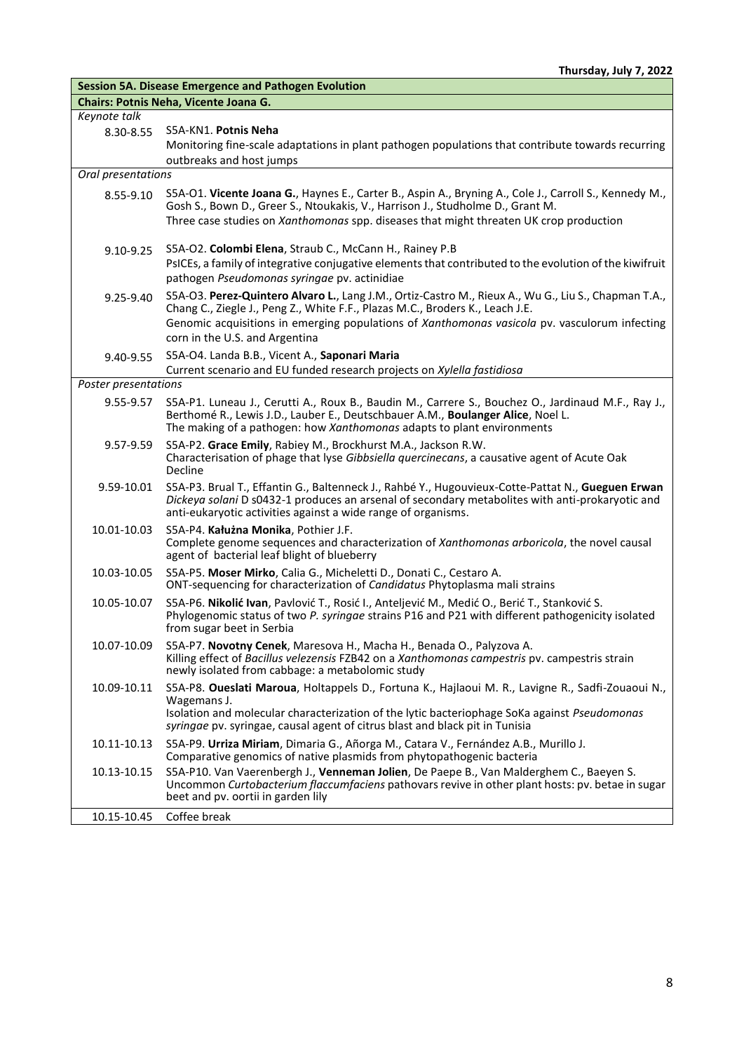| <b>Session 5A. Disease Emergence and Pathogen Evolution</b> |                                                                                                                                                                                                  |
|-------------------------------------------------------------|--------------------------------------------------------------------------------------------------------------------------------------------------------------------------------------------------|
|                                                             | Chairs: Potnis Neha, Vicente Joana G.                                                                                                                                                            |
| Keynote talk                                                |                                                                                                                                                                                                  |
| 8.30-8.55                                                   | S5A-KN1. Potnis Neha                                                                                                                                                                             |
|                                                             | Monitoring fine-scale adaptations in plant pathogen populations that contribute towards recurring                                                                                                |
|                                                             | outbreaks and host jumps                                                                                                                                                                         |
| Oral presentations                                          |                                                                                                                                                                                                  |
| 8.55-9.10                                                   | S5A-O1. Vicente Joana G., Haynes E., Carter B., Aspin A., Bryning A., Cole J., Carroll S., Kennedy M.,                                                                                           |
|                                                             | Gosh S., Bown D., Greer S., Ntoukakis, V., Harrison J., Studholme D., Grant M.                                                                                                                   |
|                                                             | Three case studies on Xanthomonas spp. diseases that might threaten UK crop production                                                                                                           |
|                                                             |                                                                                                                                                                                                  |
| $9.10 - 9.25$                                               | S5A-O2. Colombi Elena, Straub C., McCann H., Rainey P.B                                                                                                                                          |
|                                                             | PsICEs, a family of integrative conjugative elements that contributed to the evolution of the kiwifruit                                                                                          |
|                                                             | pathogen Pseudomonas syringae pv. actinidiae                                                                                                                                                     |
| $9.25 - 9.40$                                               | S5A-O3. Perez-Quintero Alvaro L., Lang J.M., Ortiz-Castro M., Rieux A., Wu G., Liu S., Chapman T.A.,                                                                                             |
|                                                             | Chang C., Ziegle J., Peng Z., White F.F., Plazas M.C., Broders K., Leach J.E.                                                                                                                    |
|                                                             | Genomic acquisitions in emerging populations of Xanthomonas vasicola pv. vasculorum infecting                                                                                                    |
|                                                             | corn in the U.S. and Argentina                                                                                                                                                                   |
| 9.40-9.55                                                   | S5A-O4. Landa B.B., Vicent A., Saponari Maria                                                                                                                                                    |
|                                                             | Current scenario and EU funded research projects on Xylella fastidiosa                                                                                                                           |
| Poster presentations                                        |                                                                                                                                                                                                  |
| 9.55-9.57                                                   | S5A-P1. Luneau J., Cerutti A., Roux B., Baudin M., Carrere S., Bouchez O., Jardinaud M.F., Ray J.,                                                                                               |
|                                                             | Berthomé R., Lewis J.D., Lauber E., Deutschbauer A.M., Boulanger Alice, Noel L.                                                                                                                  |
|                                                             | The making of a pathogen: how Xanthomonas adapts to plant environments                                                                                                                           |
| 9.57-9.59                                                   | S5A-P2. Grace Emily, Rabiey M., Brockhurst M.A., Jackson R.W.                                                                                                                                    |
|                                                             | Characterisation of phage that lyse Gibbsiella quercinecans, a causative agent of Acute Oak                                                                                                      |
|                                                             | Decline                                                                                                                                                                                          |
| 9.59-10.01                                                  | S5A-P3. Brual T., Effantin G., Baltenneck J., Rahbé Y., Hugouvieux-Cotte-Pattat N., Gueguen Erwan                                                                                                |
|                                                             | Dickeya solani D s0432-1 produces an arsenal of secondary metabolites with anti-prokaryotic and                                                                                                  |
|                                                             | anti-eukaryotic activities against a wide range of organisms.                                                                                                                                    |
| 10.01-10.03                                                 | S5A-P4. Kałużna Monika, Pothier J.F.                                                                                                                                                             |
|                                                             | Complete genome sequences and characterization of Xanthomonas arboricola, the novel causal<br>agent of bacterial leaf blight of blueberry                                                        |
|                                                             |                                                                                                                                                                                                  |
| 10.03-10.05                                                 | S5A-P5. Moser Mirko, Calia G., Micheletti D., Donati C., Cestaro A.<br>ONT-sequencing for characterization of Candidatus Phytoplasma mali strains                                                |
|                                                             |                                                                                                                                                                                                  |
| 10.05-10.07                                                 | S5A-P6. Nikolić Ivan, Pavlović T., Rosić I., Anteljević M., Medić O., Berić T., Stanković S.<br>Phylogenomic status of two P. syringae strains P16 and P21 with different pathogenicity isolated |
|                                                             | from sugar beet in Serbia                                                                                                                                                                        |
| 10.07-10.09                                                 | S5A-P7. Novotny Cenek, Maresova H., Macha H., Benada O., Palyzova A.                                                                                                                             |
|                                                             | Killing effect of Bacillus velezensis FZB42 on a Xanthomonas campestris pv. campestris strain                                                                                                    |
|                                                             | newly isolated from cabbage: a metabolomic study                                                                                                                                                 |
| 10.09-10.11                                                 | S5A-P8. Queslati Maroua, Holtappels D., Fortuna K., Hajlaoui M. R., Lavigne R., Sadfi-Zouaoui N.,                                                                                                |
|                                                             | Wagemans J.                                                                                                                                                                                      |
|                                                             | Isolation and molecular characterization of the lytic bacteriophage SoKa against Pseudomonas                                                                                                     |
|                                                             | syringae pv. syringae, causal agent of citrus blast and black pit in Tunisia                                                                                                                     |
| 10.11-10.13                                                 | S5A-P9. Urriza Miriam, Dimaria G., Añorga M., Catara V., Fernández A.B., Murillo J.                                                                                                              |
|                                                             | Comparative genomics of native plasmids from phytopathogenic bacteria                                                                                                                            |
| 10.13-10.15                                                 | S5A-P10. Van Vaerenbergh J., Venneman Jolien, De Paepe B., Van Malderghem C., Baeyen S.                                                                                                          |
|                                                             | Uncommon Curtobacterium flaccumfaciens pathovars revive in other plant hosts: pv. betae in sugar                                                                                                 |
|                                                             | beet and pv. oortii in garden lily                                                                                                                                                               |
| 10.15-10.45                                                 | Coffee break                                                                                                                                                                                     |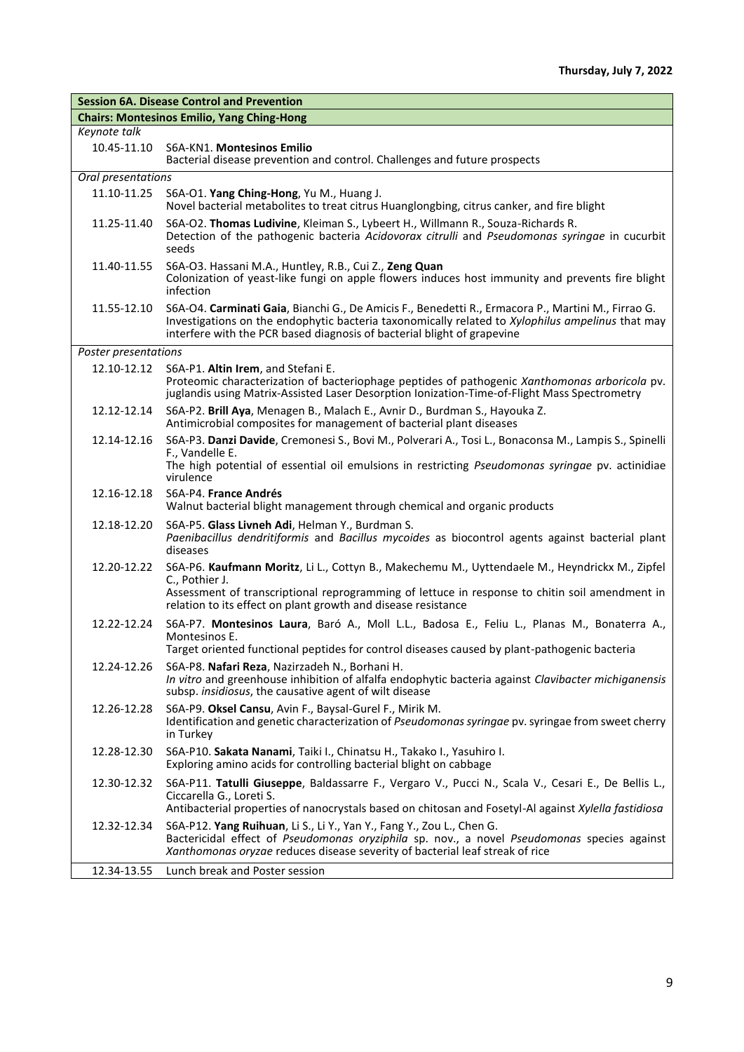| <b>Session 6A. Disease Control and Prevention</b> |                                                                                                                                                                                                                                                                                   |
|---------------------------------------------------|-----------------------------------------------------------------------------------------------------------------------------------------------------------------------------------------------------------------------------------------------------------------------------------|
|                                                   | <b>Chairs: Montesinos Emilio, Yang Ching-Hong</b>                                                                                                                                                                                                                                 |
| Keynote talk                                      |                                                                                                                                                                                                                                                                                   |
| 10.45-11.10                                       | S6A-KN1. Montesinos Emilio<br>Bacterial disease prevention and control. Challenges and future prospects                                                                                                                                                                           |
| Oral presentations                                |                                                                                                                                                                                                                                                                                   |
| 11.10-11.25                                       | S6A-O1. Yang Ching-Hong, Yu M., Huang J.<br>Novel bacterial metabolites to treat citrus Huanglongbing, citrus canker, and fire blight                                                                                                                                             |
| 11.25-11.40                                       | S6A-O2. Thomas Ludivine, Kleiman S., Lybeert H., Willmann R., Souza-Richards R.<br>Detection of the pathogenic bacteria Acidovorax citrulli and Pseudomonas syringae in cucurbit<br>seeds                                                                                         |
| 11.40-11.55                                       | S6A-O3. Hassani M.A., Huntley, R.B., Cui Z., Zeng Quan<br>Colonization of yeast-like fungi on apple flowers induces host immunity and prevents fire blight<br>infection                                                                                                           |
| 11.55-12.10                                       | S6A-O4. Carminati Gaia, Bianchi G., De Amicis F., Benedetti R., Ermacora P., Martini M., Firrao G.<br>Investigations on the endophytic bacteria taxonomically related to Xylophilus ampelinus that may<br>interfere with the PCR based diagnosis of bacterial blight of grapevine |
| Poster presentations                              |                                                                                                                                                                                                                                                                                   |
| 12.10-12.12                                       | S6A-P1. Altin Irem, and Stefani E.<br>Proteomic characterization of bacteriophage peptides of pathogenic Xanthomonas arboricola pv.<br>juglandis using Matrix-Assisted Laser Desorption Ionization-Time-of-Flight Mass Spectrometry                                               |
| 12.12-12.14                                       | S6A-P2. Brill Aya, Menagen B., Malach E., Avnir D., Burdman S., Hayouka Z.<br>Antimicrobial composites for management of bacterial plant diseases                                                                                                                                 |
| 12.14-12.16                                       | S6A-P3. Danzi Davide, Cremonesi S., Bovi M., Polverari A., Tosi L., Bonaconsa M., Lampis S., Spinelli                                                                                                                                                                             |
|                                                   | F., Vandelle E.<br>The high potential of essential oil emulsions in restricting Pseudomonas syringae pv. actinidiae<br>virulence                                                                                                                                                  |
| 12.16-12.18                                       | S6A-P4. France Andrés<br>Walnut bacterial blight management through chemical and organic products                                                                                                                                                                                 |
| 12.18-12.20                                       | S6A-P5. Glass Livneh Adi, Helman Y., Burdman S.<br>Paenibacillus dendritiformis and Bacillus mycoides as biocontrol agents against bacterial plant<br>diseases                                                                                                                    |
| 12.20-12.22                                       | S6A-P6. Kaufmann Moritz, Li L., Cottyn B., Makechemu M., Uyttendaele M., Heyndrickx M., Zipfel<br>C., Pothier J.<br>Assessment of transcriptional reprogramming of lettuce in response to chitin soil amendment in                                                                |
|                                                   | relation to its effect on plant growth and disease resistance                                                                                                                                                                                                                     |
| 12.22-12.24                                       | S6A-P7. Montesinos Laura, Baró A., Moll L.L., Badosa E., Feliu L., Planas M., Bonaterra A.,<br>Montesinos E.<br>Target oriented functional peptides for control diseases caused by plant-pathogenic bacteria                                                                      |
| 12.24-12.26                                       | S6A-P8. Nafari Reza, Nazirzadeh N., Borhani H.<br>In vitro and greenhouse inhibition of alfalfa endophytic bacteria against Clavibacter michiganensis<br>subsp. insidiosus, the causative agent of wilt disease                                                                   |
| 12.26-12.28                                       | S6A-P9. Oksel Cansu, Avin F., Baysal-Gurel F., Mirik M.<br>Identification and genetic characterization of Pseudomonas syringae pv. syringae from sweet cherry<br>in Turkey                                                                                                        |
| 12.28-12.30                                       | S6A-P10. Sakata Nanami, Taiki I., Chinatsu H., Takako I., Yasuhiro I.<br>Exploring amino acids for controlling bacterial blight on cabbage                                                                                                                                        |
| 12.30-12.32                                       | S6A-P11. Tatulli Giuseppe, Baldassarre F., Vergaro V., Pucci N., Scala V., Cesari E., De Bellis L.,<br>Ciccarella G., Loreti S.<br>Antibacterial properties of nanocrystals based on chitosan and Fosetyl-Al against Xylella fastidiosa                                           |
| 12.32-12.34                                       | S6A-P12. Yang Ruihuan, Li S., Li Y., Yan Y., Fang Y., Zou L., Chen G.<br>Bactericidal effect of Pseudomonas oryziphila sp. nov., a novel Pseudomonas species against<br>Xanthomonas oryzae reduces disease severity of bacterial leaf streak of rice                              |
| 12.34-13.55                                       | Lunch break and Poster session                                                                                                                                                                                                                                                    |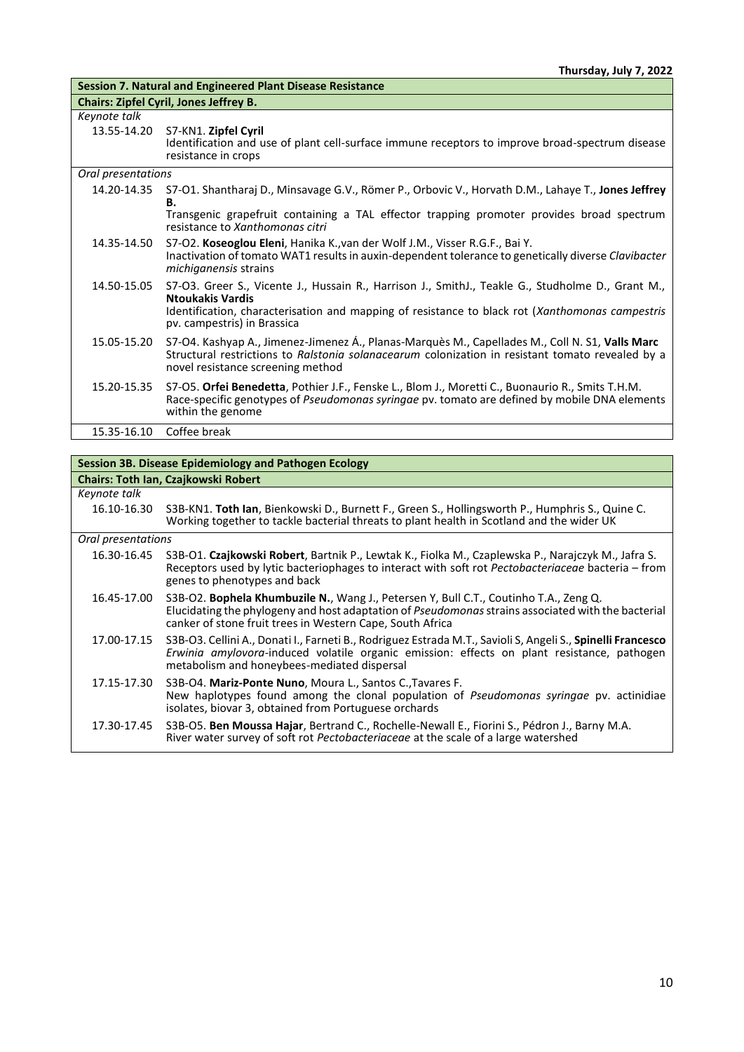| <b>Session 7. Natural and Engineered Plant Disease Resistance</b> |                                                                                                                                                                                                                                                                |  |
|-------------------------------------------------------------------|----------------------------------------------------------------------------------------------------------------------------------------------------------------------------------------------------------------------------------------------------------------|--|
|                                                                   | <b>Chairs: Zipfel Cyril, Jones Jeffrey B.</b>                                                                                                                                                                                                                  |  |
| Keynote talk                                                      |                                                                                                                                                                                                                                                                |  |
| 13.55-14.20                                                       | S7-KN1. Zipfel Cyril<br>Identification and use of plant cell-surface immune receptors to improve broad-spectrum disease<br>resistance in crops                                                                                                                 |  |
| Oral presentations                                                |                                                                                                                                                                                                                                                                |  |
| 14.20-14.35                                                       | S7-01. Shantharaj D., Minsavage G.V., Römer P., Orbovic V., Horvath D.M., Lahaye T., Jones Jeffrey<br>В.                                                                                                                                                       |  |
|                                                                   | Transgenic grapefruit containing a TAL effector trapping promoter provides broad spectrum<br>resistance to Xanthomonas citri                                                                                                                                   |  |
| 14.35-14.50                                                       | S7-O2. Koseoglou Eleni, Hanika K., van der Wolf J.M., Visser R.G.F., Bai Y.<br>Inactivation of tomato WAT1 results in auxin-dependent tolerance to genetically diverse Clavibacter<br>michiganensis strains                                                    |  |
| 14.50-15.05                                                       | S7-O3. Greer S., Vicente J., Hussain R., Harrison J., SmithJ., Teakle G., Studholme D., Grant M.,<br><b>Ntoukakis Vardis</b><br>Identification, characterisation and mapping of resistance to black rot (Xanthomonas campestris<br>pv. campestris) in Brassica |  |
| 15.05-15.20                                                       | S7-O4. Kashyap A., Jimenez-Jimenez Á., Planas-Marquès M., Capellades M., Coll N. S1, Valls Marc<br>Structural restrictions to Ralstonia solanacearum colonization in resistant tomato revealed by a<br>novel resistance screening method                       |  |
| 15.20-15.35                                                       | S7-O5. Orfei Benedetta, Pothier J.F., Fenske L., Blom J., Moretti C., Buonaurio R., Smits T.H.M.<br>Race-specific genotypes of Pseudomonas syringae pv. tomato are defined by mobile DNA elements<br>within the genome                                         |  |
| 15.35-16.10                                                       | Coffee break                                                                                                                                                                                                                                                   |  |

| Session 3B. Disease Epidemiology and Pathogen Ecology |                                                                                                                                                                                                                                                                         |  |
|-------------------------------------------------------|-------------------------------------------------------------------------------------------------------------------------------------------------------------------------------------------------------------------------------------------------------------------------|--|
| <b>Chairs: Toth Ian, Czajkowski Robert</b>            |                                                                                                                                                                                                                                                                         |  |
| Keynote talk                                          |                                                                                                                                                                                                                                                                         |  |
| 16.10-16.30                                           | S3B-KN1. Toth lan, Bienkowski D., Burnett F., Green S., Hollingsworth P., Humphris S., Quine C.<br>Working together to tackle bacterial threats to plant health in Scotland and the wider UK                                                                            |  |
| Oral presentations                                    |                                                                                                                                                                                                                                                                         |  |
| 16.30-16.45                                           | S3B-O1. Czajkowski Robert, Bartnik P., Lewtak K., Fiolka M., Czaplewska P., Narajczyk M., Jafra S.<br>Receptors used by lytic bacteriophages to interact with soft rot Pectobacteriaceae bacteria - from<br>genes to phenotypes and back                                |  |
| 16.45-17.00                                           | S3B-O2. <b>Bophela Khumbuzile N.</b> , Wang J., Petersen Y, Bull C.T., Coutinho T.A., Zeng Q.<br>Elucidating the phylogeny and host adaptation of <i>Pseudomongs</i> strains associated with the bacterial<br>canker of stone fruit trees in Western Cape, South Africa |  |
| 17.00-17.15                                           | S3B-O3. Cellini A., Donati I., Farneti B., Rodriguez Estrada M.T., Savioli S, Angeli S., Spinelli Francesco<br>Erwinia amylovora-induced volatile organic emission: effects on plant resistance, pathogen<br>metabolism and honeybees-mediated dispersal                |  |
| 17.15-17.30                                           | S3B-O4. Mariz-Ponte Nuno, Moura L., Santos C., Tavares F.<br>New haplotypes found among the clonal population of <i>Pseudomonas syringae</i> pv. actinidiae<br>isolates, biovar 3, obtained from Portuguese orchards                                                    |  |
| 17.30-17.45                                           | S3B-O5. Ben Moussa Hajar, Bertrand C., Rochelle-Newall E., Fiorini S., Pédron J., Barny M.A.<br>River water survey of soft rot Pectobacteriaceae at the scale of a large watershed                                                                                      |  |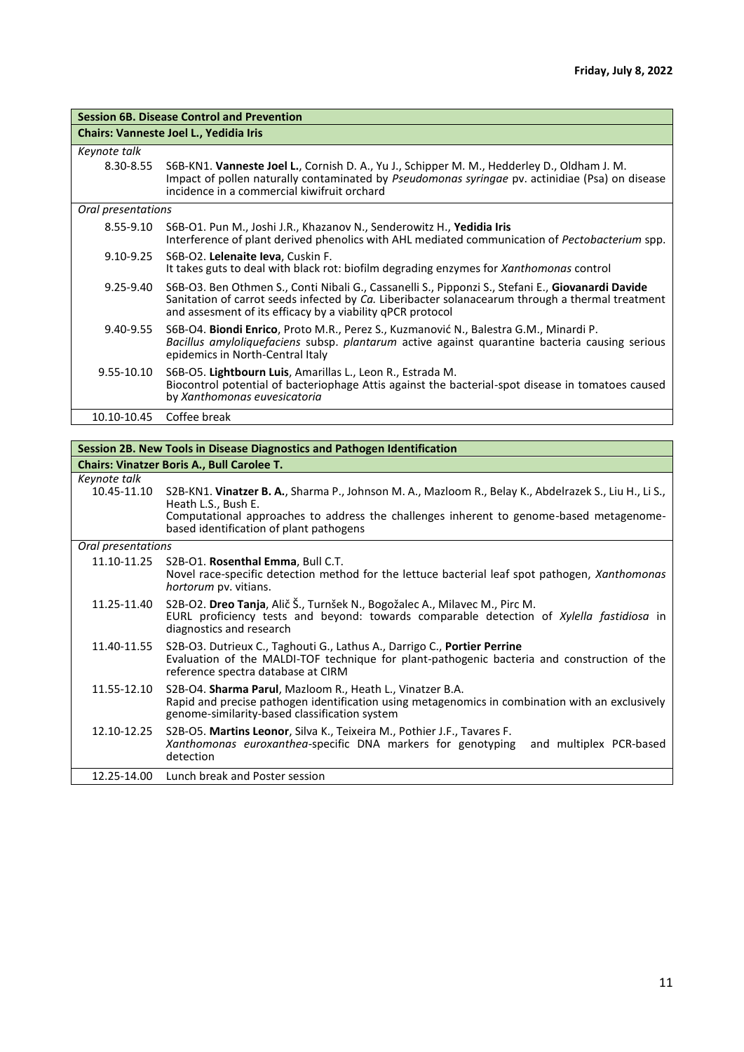| <b>Session 6B. Disease Control and Prevention</b> |                                                                                                                                                                                                                                                                     |  |
|---------------------------------------------------|---------------------------------------------------------------------------------------------------------------------------------------------------------------------------------------------------------------------------------------------------------------------|--|
| Chairs: Vanneste Joel L., Yedidia Iris            |                                                                                                                                                                                                                                                                     |  |
| Keynote talk                                      |                                                                                                                                                                                                                                                                     |  |
| 8.30-8.55                                         | S6B-KN1. Vanneste Joel L., Cornish D. A., Yu J., Schipper M. M., Hedderley D., Oldham J. M.<br>Impact of pollen naturally contaminated by Pseudomonas syringae pv. actinidiae (Psa) on disease<br>incidence in a commercial kiwifruit orchard                       |  |
| Oral presentations                                |                                                                                                                                                                                                                                                                     |  |
| 8.55-9.10                                         | S6B-O1. Pun M., Joshi J.R., Khazanov N., Senderowitz H., Yedidia Iris<br>Interference of plant derived phenolics with AHL mediated communication of Pectobacterium spp.                                                                                             |  |
| $9.10 - 9.25$                                     | S6B-O2. Lelenaite leva, Cuskin F.<br>It takes guts to deal with black rot: biofilm degrading enzymes for Xanthomonas control                                                                                                                                        |  |
| 9.25-9.40                                         | S6B-O3. Ben Othmen S., Conti Nibali G., Cassanelli S., Pipponzi S., Stefani E., Giovanardi Davide<br>Sanitation of carrot seeds infected by Ca. Liberibacter solanacearum through a thermal treatment<br>and assesment of its efficacy by a viability qPCR protocol |  |
| 9.40-9.55                                         | S6B-O4. Biondi Enrico, Proto M.R., Perez S., Kuzmanović N., Balestra G.M., Minardi P.<br>Bacillus amyloliquefaciens subsp. plantarum active against quarantine bacteria causing serious<br>epidemics in North-Central Italy                                         |  |
| 9.55-10.10                                        | S6B-O5. Lightbourn Luis, Amarillas L., Leon R., Estrada M.<br>Biocontrol potential of bacteriophage Attis against the bacterial-spot disease in tomatoes caused<br>by Xanthomonas euvesicatoria                                                                     |  |
| 10.10-10.45                                       | Coffee break                                                                                                                                                                                                                                                        |  |

| Session 2B. New Tools in Disease Diagnostics and Pathogen Identification |                                                                                                                                                                                                                                                                     |  |
|--------------------------------------------------------------------------|---------------------------------------------------------------------------------------------------------------------------------------------------------------------------------------------------------------------------------------------------------------------|--|
| <b>Chairs: Vinatzer Boris A., Bull Carolee T.</b>                        |                                                                                                                                                                                                                                                                     |  |
| Keynote talk<br>10.45-11.10                                              | S2B-KN1. Vinatzer B. A., Sharma P., Johnson M. A., Mazloom R., Belay K., Abdelrazek S., Liu H., Li S.,<br>Heath L.S., Bush E.<br>Computational approaches to address the challenges inherent to genome-based metagenome-<br>based identification of plant pathogens |  |
| Oral presentations                                                       |                                                                                                                                                                                                                                                                     |  |
| 11.10-11.25                                                              | S2B-O1. Rosenthal Emma, Bull C.T.<br>Novel race-specific detection method for the lettuce bacterial leaf spot pathogen, Xanthomonas<br><i>hortorum</i> pv. vitians.                                                                                                 |  |
| 11.25-11.40                                                              | S2B-O2. Dreo Tanja, Alič Š., Turnšek N., Bogožalec A., Milavec M., Pirc M.<br>EURL proficiency tests and beyond: towards comparable detection of Xylella fastidiosa in<br>diagnostics and research                                                                  |  |
| 11.40-11.55                                                              | S2B-O3. Dutrieux C., Taghouti G., Lathus A., Darrigo C., Portier Perrine<br>Evaluation of the MALDI-TOF technique for plant-pathogenic bacteria and construction of the<br>reference spectra database at CIRM                                                       |  |
| 11.55-12.10                                                              | S2B-O4. Sharma Parul, Mazloom R., Heath L., Vinatzer B.A.<br>Rapid and precise pathogen identification using metagenomics in combination with an exclusively<br>genome-similarity-based classification system                                                       |  |
| 12.10-12.25                                                              | S2B-O5. Martins Leonor, Silva K., Teixeira M., Pothier J.F., Tavares F.<br>Xanthomonas euroxanthea-specific DNA markers for genotyping<br>and multiplex PCR-based<br>detection                                                                                      |  |
|                                                                          | 12.25-14.00 Lunch break and Poster session                                                                                                                                                                                                                          |  |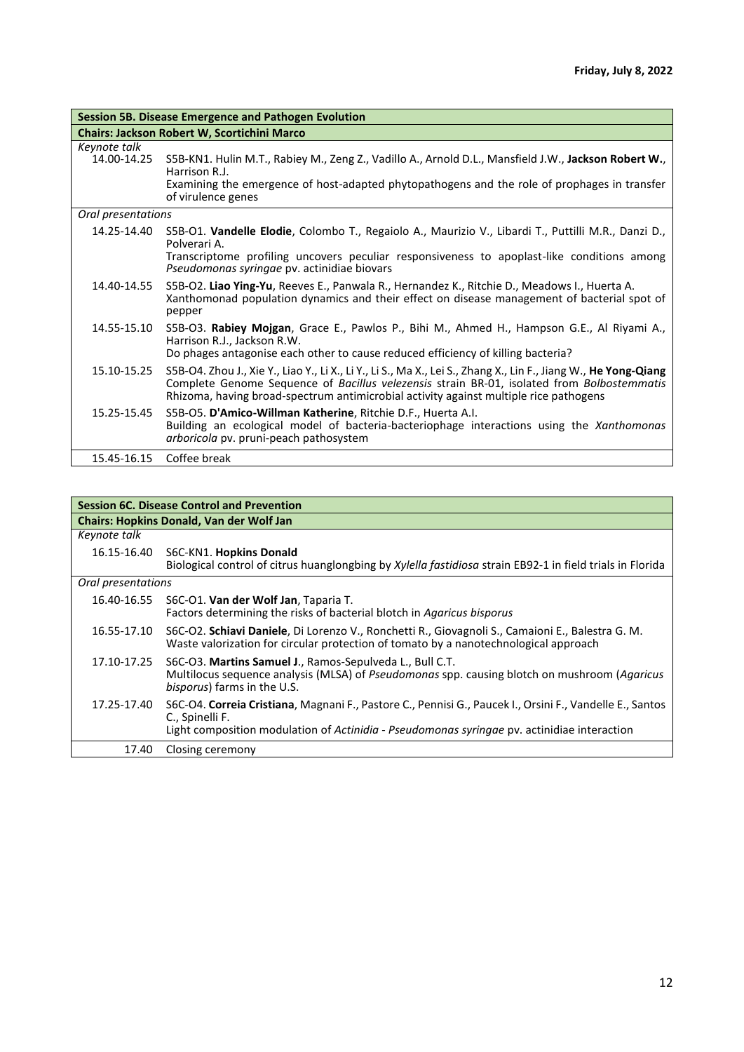| <b>Session 5B. Disease Emergence and Pathogen Evolution</b> |                                                                                                                                                                                                                                                                                                        |  |
|-------------------------------------------------------------|--------------------------------------------------------------------------------------------------------------------------------------------------------------------------------------------------------------------------------------------------------------------------------------------------------|--|
| <b>Chairs: Jackson Robert W, Scortichini Marco</b>          |                                                                                                                                                                                                                                                                                                        |  |
| Keynote talk<br>14.00-14.25                                 | S5B-KN1. Hulin M.T., Rabiey M., Zeng Z., Vadillo A., Arnold D.L., Mansfield J.W., Jackson Robert W.,<br>Harrison R.J.<br>Examining the emergence of host-adapted phytopathogens and the role of prophages in transfer<br>of virulence genes                                                            |  |
| Oral presentations                                          |                                                                                                                                                                                                                                                                                                        |  |
| 14.25-14.40                                                 | S5B-O1. Vandelle Elodie, Colombo T., Regaiolo A., Maurizio V., Libardi T., Puttilli M.R., Danzi D.,<br>Polverari A.<br>Transcriptome profiling uncovers peculiar responsiveness to apoplast-like conditions among<br>Pseudomonas syringae pv. actinidiae biovars                                       |  |
| 14.40-14.55                                                 | S5B-O2. Liao Ying-Yu, Reeves E., Panwala R., Hernandez K., Ritchie D., Meadows I., Huerta A.<br>Xanthomonad population dynamics and their effect on disease management of bacterial spot of<br>pepper                                                                                                  |  |
| 14.55-15.10                                                 | S5B-O3. Rabiey Mojgan, Grace E., Pawlos P., Bihi M., Ahmed H., Hampson G.E., Al Riyami A.,<br>Harrison R.J., Jackson R.W.<br>Do phages antagonise each other to cause reduced efficiency of killing bacteria?                                                                                          |  |
| 15.10-15.25                                                 | S5B-O4. Zhou J., Xie Y., Liao Y., Li X., Li Y., Li S., Ma X., Lei S., Zhang X., Lin F., Jiang W., He Yong-Qiang<br>Complete Genome Sequence of Bacillus velezensis strain BR-01, isolated from Bolbostemmatis<br>Rhizoma, having broad-spectrum antimicrobial activity against multiple rice pathogens |  |
| 15.25-15.45                                                 | S5B-O5. D'Amico-Willman Katherine, Ritchie D.F., Huerta A.I.<br>Building an ecological model of bacteria-bacteriophage interactions using the Xanthomonas<br>arboricola pv. pruni-peach pathosystem                                                                                                    |  |
| 15.45-16.15                                                 | Coffee break                                                                                                                                                                                                                                                                                           |  |

| <b>Session 6C. Disease Control and Prevention</b> |                                                                                                                                                                                                                            |  |
|---------------------------------------------------|----------------------------------------------------------------------------------------------------------------------------------------------------------------------------------------------------------------------------|--|
| <b>Chairs: Hopkins Donald, Van der Wolf Jan</b>   |                                                                                                                                                                                                                            |  |
| Keynote talk                                      |                                                                                                                                                                                                                            |  |
|                                                   | 16.15-16.40 S6C-KN1. Hopkins Donald<br>Biological control of citrus huanglongbing by Xylella fastidiosa strain EB92-1 in field trials in Florida                                                                           |  |
| Oral presentations                                |                                                                                                                                                                                                                            |  |
| 16.40-16.55                                       | S6C-O1. Van der Wolf Jan, Taparia T.<br>Factors determining the risks of bacterial blotch in Agaricus bisporus                                                                                                             |  |
| 16.55-17.10                                       | S6C-O2. Schiavi Daniele, Di Lorenzo V., Ronchetti R., Giovagnoli S., Camaioni E., Balestra G. M.<br>Waste valorization for circular protection of tomato by a nanotechnological approach                                   |  |
| 17.10-17.25                                       | S6C-O3. Martins Samuel J., Ramos-Sepulveda L., Bull C.T.<br>Multilocus sequence analysis (MLSA) of Pseudomonas spp. causing blotch on mushroom (Agaricus<br>bisporus) farms in the U.S.                                    |  |
| 17.25-17.40                                       | S6C-O4. Correia Cristiana, Magnani F., Pastore C., Pennisi G., Paucek I., Orsini F., Vandelle E., Santos<br>C., Spinelli F.<br>Light composition modulation of Actinidia - Pseudomonas syringae pv. actinidiae interaction |  |
| 17.40                                             | Closing ceremony                                                                                                                                                                                                           |  |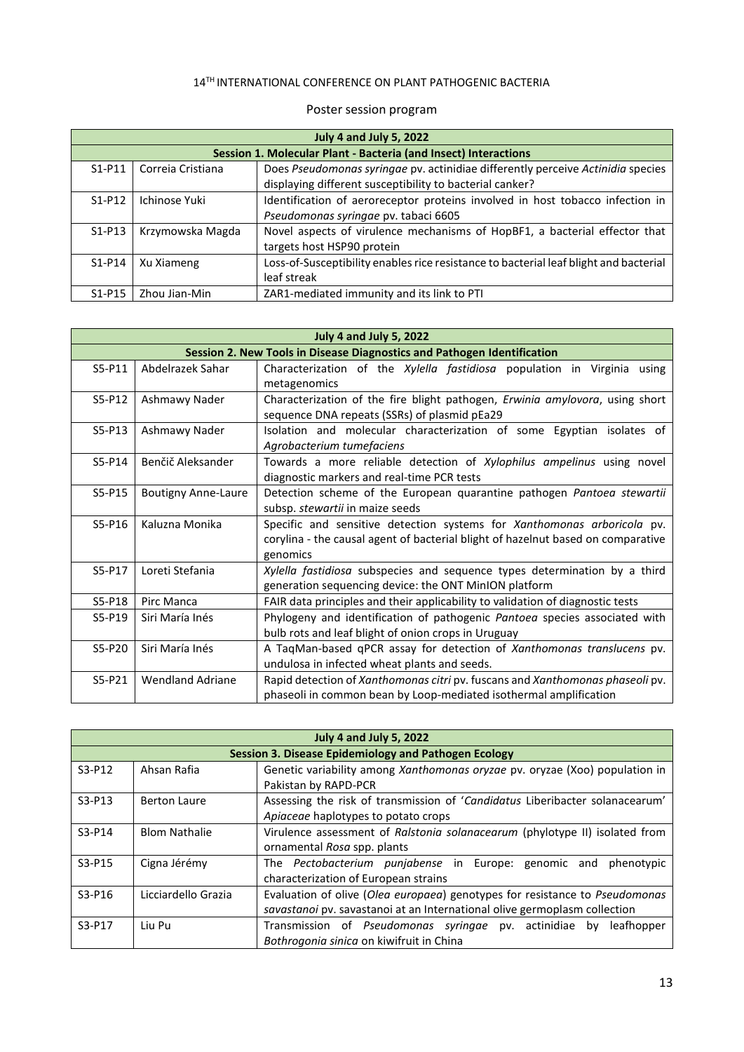## 14TH INTERNATIONAL CONFERENCE ON PLANT PATHOGENIC BACTERIA

| <b>July 4 and July 5, 2022</b>                                  |                   |                                                                                       |
|-----------------------------------------------------------------|-------------------|---------------------------------------------------------------------------------------|
| Session 1. Molecular Plant - Bacteria (and Insect) Interactions |                   |                                                                                       |
| $S1-P11$                                                        | Correja Cristiana | Does Pseudomonas syringae pv. actinidiae differently perceive Actinidia species       |
|                                                                 |                   | displaying different susceptibility to bacterial canker?                              |
| $S1-P12$                                                        | Ichinose Yuki     | Identification of aeroreceptor proteins involved in host tobacco infection in         |
|                                                                 |                   | Pseudomonas syringae pv. tabaci 6605                                                  |
| $S1-P13$                                                        | Krzymowska Magda  | Novel aspects of virulence mechanisms of HopBF1, a bacterial effector that            |
|                                                                 |                   | targets host HSP90 protein                                                            |
| $S1-P14$                                                        | Xu Xiameng        | Loss-of-Susceptibility enables rice resistance to bacterial leaf blight and bacterial |
|                                                                 |                   | leaf streak                                                                           |
| $S1-P15$                                                        | Zhou Jian-Min     | ZAR1-mediated immunity and its link to PTI                                            |

## Poster session program

| <b>July 4 and July 5, 2022</b>                                          |                            |                                                                                  |
|-------------------------------------------------------------------------|----------------------------|----------------------------------------------------------------------------------|
| Session 2. New Tools in Disease Diagnostics and Pathogen Identification |                            |                                                                                  |
| S5-P11                                                                  | Abdelrazek Sahar           | Characterization of the Xylella fastidiosa population in Virginia<br>using       |
|                                                                         |                            | metagenomics                                                                     |
| $S5-P12$                                                                | Ashmawy Nader              | Characterization of the fire blight pathogen, Erwinia amylovora, using short     |
|                                                                         |                            | sequence DNA repeats (SSRs) of plasmid pEa29                                     |
| $S5-P13$                                                                | Ashmawy Nader              | Isolation and molecular characterization of some Egyptian isolates of            |
|                                                                         |                            | Agrobacterium tumefaciens                                                        |
| S5-P14                                                                  | Benčič Aleksander          | Towards a more reliable detection of Xylophilus ampelinus using novel            |
|                                                                         |                            | diagnostic markers and real-time PCR tests                                       |
| S5-P15                                                                  | <b>Boutigny Anne-Laure</b> | Detection scheme of the European quarantine pathogen Pantoea stewartii           |
|                                                                         |                            | subsp. stewartii in maize seeds                                                  |
| $S5-P16$                                                                | Kaluzna Monika             | Specific and sensitive detection systems for Xanthomonas arboricola pv.          |
|                                                                         |                            | corylina - the causal agent of bacterial blight of hazelnut based on comparative |
|                                                                         |                            | genomics                                                                         |
| S5-P17                                                                  | Loreti Stefania            | Xylella fastidiosa subspecies and sequence types determination by a third        |
|                                                                         |                            | generation sequencing device: the ONT MinION platform                            |
| S5-P18                                                                  | Pirc Manca                 | FAIR data principles and their applicability to validation of diagnostic tests   |
| S5-P19                                                                  | Siri María Inés            | Phylogeny and identification of pathogenic Pantoea species associated with       |
|                                                                         |                            | bulb rots and leaf blight of onion crops in Uruguay                              |
| S5-P20                                                                  | Siri María Inés            | A TaqMan-based qPCR assay for detection of Xanthomonas translucens pv.           |
|                                                                         |                            | undulosa in infected wheat plants and seeds.                                     |
| $S5-P21$                                                                | <b>Wendland Adriane</b>    | Rapid detection of Xanthomonas citri pv. fuscans and Xanthomonas phaseoli pv.    |
|                                                                         |                            | phaseoli in common bean by Loop-mediated isothermal amplification                |

| <b>July 4 and July 5, 2022</b> |                                                             |                                                                              |  |
|--------------------------------|-------------------------------------------------------------|------------------------------------------------------------------------------|--|
|                                | <b>Session 3. Disease Epidemiology and Pathogen Ecology</b> |                                                                              |  |
| $S3-P12$                       | Ahsan Rafia                                                 | Genetic variability among Xanthomonas oryzae pv. oryzae (Xoo) population in  |  |
|                                |                                                             | Pakistan by RAPD-PCR                                                         |  |
| $S3-P13$                       | <b>Berton Laure</b>                                         | Assessing the risk of transmission of 'Candidatus Liberibacter solanacearum' |  |
|                                |                                                             | Apiaceae haplotypes to potato crops                                          |  |
| $S3-P14$                       | <b>Blom Nathalie</b>                                        | Virulence assessment of Ralstonia solanacearum (phylotype II) isolated from  |  |
|                                |                                                             | ornamental Rosa spp. plants                                                  |  |
| S3-P15                         | Cigna Jérémy                                                | The <i>Pectobacterium punjabense</i> in Europe: genomic and<br>phenotypic    |  |
|                                |                                                             | characterization of European strains                                         |  |
| $S3-P16$                       | Licciardello Grazia                                         | Evaluation of olive (Olea europaea) genotypes for resistance to Pseudomonas  |  |
|                                |                                                             | savastanoi pv. savastanoi at an International olive germoplasm collection    |  |
| S3-P17                         | Liu Pu                                                      | Transmission of Pseudomonas syringae pv. actinidiae<br>leafhopper<br>bv      |  |
|                                |                                                             | Bothrogonia sinica on kiwifruit in China                                     |  |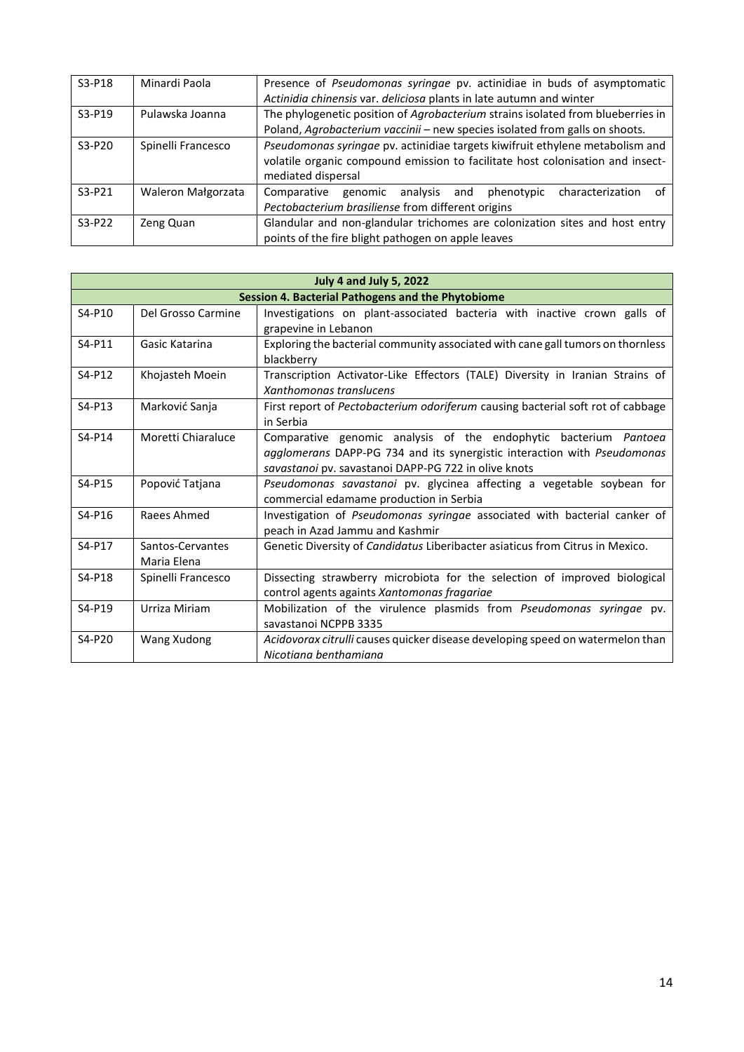| $S3-P18$ | Minardi Paola      | Presence of Pseudomonas syringae pv. actinidiae in buds of asymptomatic<br>Actinidia chinensis var. deliciosa plants in late autumn and winter                                        |
|----------|--------------------|---------------------------------------------------------------------------------------------------------------------------------------------------------------------------------------|
| $S3-P19$ | Pulawska Joanna    | The phylogenetic position of Agrobacterium strains isolated from blueberries in<br>Poland, Agrobacterium vaccinii - new species isolated from galls on shoots.                        |
| S3-P20   | Spinelli Francesco | Pseudomonas syringae pv. actinidiae targets kiwifruit ethylene metabolism and<br>volatile organic compound emission to facilitate host colonisation and insect-<br>mediated dispersal |
| $S3-P21$ | Waleron Małgorzata | analysis and<br>Comparative<br>genomic<br>phenotypic<br>characterization<br>nt.<br>Pectobacterium brasiliense from different origins                                                  |
| $S3-P22$ | Zeng Quan          | Glandular and non-glandular trichomes are colonization sites and host entry<br>points of the fire blight pathogen on apple leaves                                                     |

| <b>July 4 and July 5, 2022</b> |                                                          |                                                                                                                                                                                                      |  |
|--------------------------------|----------------------------------------------------------|------------------------------------------------------------------------------------------------------------------------------------------------------------------------------------------------------|--|
|                                | <b>Session 4. Bacterial Pathogens and the Phytobiome</b> |                                                                                                                                                                                                      |  |
| S4-P10                         | Del Grosso Carmine                                       | Investigations on plant-associated bacteria with inactive crown galls of<br>grapevine in Lebanon                                                                                                     |  |
| S4-P11                         | Gasic Katarina                                           | Exploring the bacterial community associated with cane gall tumors on thornless<br>blackberry                                                                                                        |  |
| S4-P12                         | Khojasteh Moein                                          | Transcription Activator-Like Effectors (TALE) Diversity in Iranian Strains of<br>Xanthomonas translucens                                                                                             |  |
| S4-P13                         | Marković Sanja                                           | First report of Pectobacterium odoriferum causing bacterial soft rot of cabbage<br>in Serbia                                                                                                         |  |
| S4-P14                         | Moretti Chiaraluce                                       | Comparative genomic analysis of the endophytic bacterium Pantoea<br>agglomerans DAPP-PG 734 and its synergistic interaction with Pseudomonas<br>savastanoi pv. savastanoi DAPP-PG 722 in olive knots |  |
| S4-P15                         | Popović Tatjana                                          | Pseudomonas savastanoi pv. glycinea affecting a vegetable soybean for<br>commercial edamame production in Serbia                                                                                     |  |
| S4-P16                         | Raees Ahmed                                              | Investigation of Pseudomonas syringae associated with bacterial canker of<br>peach in Azad Jammu and Kashmir                                                                                         |  |
| S4-P17                         | Santos-Cervantes<br>Maria Elena                          | Genetic Diversity of Candidatus Liberibacter asiaticus from Citrus in Mexico.                                                                                                                        |  |
| S4-P18                         | Spinelli Francesco                                       | Dissecting strawberry microbiota for the selection of improved biological<br>control agents againts Xantomonas fragariae                                                                             |  |
| S4-P19                         | Urriza Miriam                                            | Mobilization of the virulence plasmids from <i>Pseudomonas syringae</i> pv.<br>savastanoi NCPPB 3335                                                                                                 |  |
| S4-P20                         | Wang Xudong                                              | Acidovorax citrulli causes quicker disease developing speed on watermelon than<br>Nicotiana benthamiana                                                                                              |  |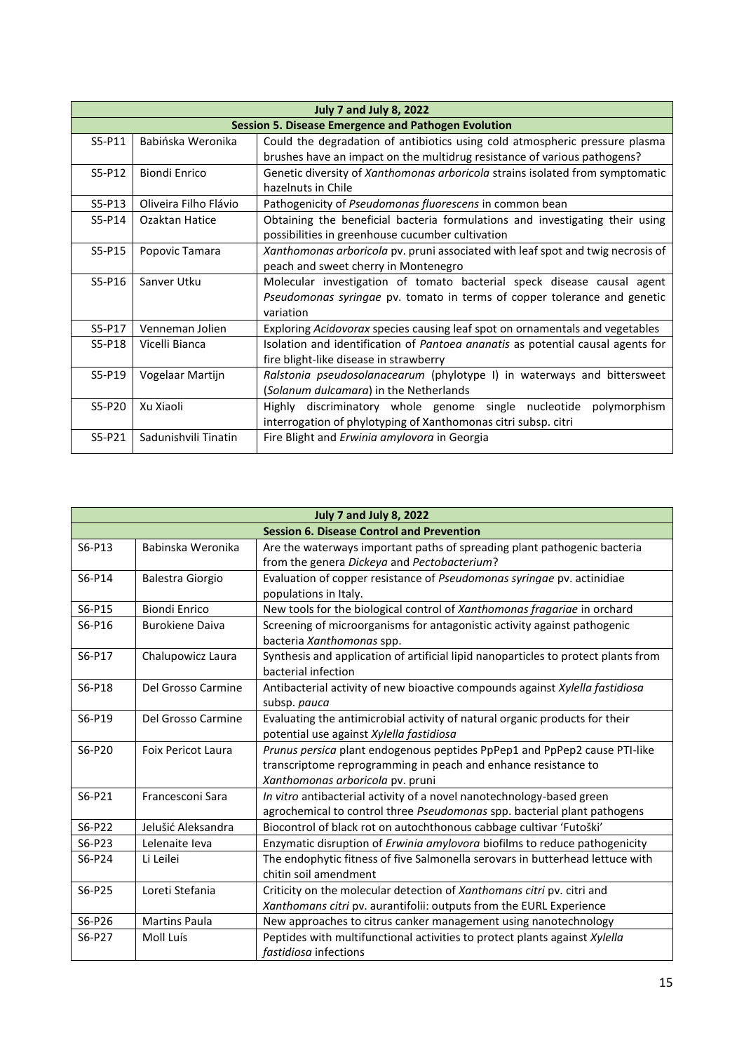| <b>July 7 and July 8, 2022</b>                             |                       |                                                                                 |
|------------------------------------------------------------|-----------------------|---------------------------------------------------------------------------------|
| <b>Session 5. Disease Emergence and Pathogen Evolution</b> |                       |                                                                                 |
| $S5-P11$                                                   | Babińska Weronika     | Could the degradation of antibiotics using cold atmospheric pressure plasma     |
|                                                            |                       | brushes have an impact on the multidrug resistance of various pathogens?        |
| $S5-P12$                                                   | <b>Biondi Enrico</b>  | Genetic diversity of Xanthomonas arboricola strains isolated from symptomatic   |
|                                                            |                       | hazelnuts in Chile                                                              |
| $S5-P13$                                                   | Oliveira Filho Flávio | Pathogenicity of Pseudomonas fluorescens in common bean                         |
| S5-P14                                                     | Ozaktan Hatice        | Obtaining the beneficial bacteria formulations and investigating their using    |
|                                                            |                       | possibilities in greenhouse cucumber cultivation                                |
| $S5-P15$                                                   | Popovic Tamara        | Xanthomonas arboricola pv. pruni associated with leaf spot and twig necrosis of |
|                                                            |                       | peach and sweet cherry in Montenegro                                            |
| $S5-P16$                                                   | Sanver Utku           | Molecular investigation of tomato bacterial speck disease causal agent          |
|                                                            |                       | Pseudomonas syringae pv. tomato in terms of copper tolerance and genetic        |
|                                                            |                       | variation                                                                       |
| S5-P17                                                     | Venneman Jolien       | Exploring Acidovorax species causing leaf spot on ornamentals and vegetables    |
| S5-P18                                                     | Vicelli Bianca        | Isolation and identification of Pantoea ananatis as potential causal agents for |
|                                                            |                       | fire blight-like disease in strawberry                                          |
| $S5-P19$                                                   | Vogelaar Martijn      | Ralstonia pseudosolanacearum (phylotype I) in waterways and bittersweet         |
|                                                            |                       | (Solanum dulcamara) in the Netherlands                                          |
| $S5-P20$                                                   | Xu Xiaoli             | discriminatory whole genome single nucleotide<br>polymorphism<br>Highly         |
|                                                            |                       | interrogation of phylotyping of Xanthomonas citri subsp. citri                  |
| $S5-P21$                                                   | Sadunishvili Tinatin  | Fire Blight and <i>Erwinia amylovora</i> in Georgia                             |

| <b>July 7 and July 8, 2022</b>                   |                           |                                                                                    |  |
|--------------------------------------------------|---------------------------|------------------------------------------------------------------------------------|--|
| <b>Session 6. Disease Control and Prevention</b> |                           |                                                                                    |  |
| S6-P13                                           | Babinska Weronika         | Are the waterways important paths of spreading plant pathogenic bacteria           |  |
|                                                  |                           | from the genera Dickeya and Pectobacterium?                                        |  |
| S6-P14                                           | Balestra Giorgio          | Evaluation of copper resistance of Pseudomonas syringae pv. actinidiae             |  |
|                                                  |                           | populations in Italy.                                                              |  |
| S6-P15                                           | <b>Biondi Enrico</b>      | New tools for the biological control of Xanthomonas fragariae in orchard           |  |
| S6-P16                                           | <b>Burokiene Daiva</b>    | Screening of microorganisms for antagonistic activity against pathogenic           |  |
|                                                  |                           | bacteria Xanthomonas spp.                                                          |  |
| S6-P17                                           | Chalupowicz Laura         | Synthesis and application of artificial lipid nanoparticles to protect plants from |  |
|                                                  |                           | bacterial infection                                                                |  |
| S6-P18                                           | Del Grosso Carmine        | Antibacterial activity of new bioactive compounds against Xylella fastidiosa       |  |
|                                                  |                           | subsp. pauca                                                                       |  |
| S6-P19                                           | Del Grosso Carmine        | Evaluating the antimicrobial activity of natural organic products for their        |  |
|                                                  |                           | potential use against Xylella fastidiosa                                           |  |
| S6-P20                                           | <b>Foix Pericot Laura</b> | Prunus persica plant endogenous peptides PpPep1 and PpPep2 cause PTI-like          |  |
|                                                  |                           | transcriptome reprogramming in peach and enhance resistance to                     |  |
|                                                  |                           | Xanthomonas arboricola pv. pruni                                                   |  |
| S6-P21                                           | Francesconi Sara          | In vitro antibacterial activity of a novel nanotechnology-based green              |  |
|                                                  |                           | agrochemical to control three Pseudomonas spp. bacterial plant pathogens           |  |
| S6-P22                                           | Jelušić Aleksandra        | Biocontrol of black rot on autochthonous cabbage cultivar 'Futoški'                |  |
| S6-P23                                           | Lelenaite leva            | Enzymatic disruption of Erwinia amylovora biofilms to reduce pathogenicity         |  |
| S6-P24                                           | Li Leilei                 | The endophytic fitness of five Salmonella serovars in butterhead lettuce with      |  |
|                                                  |                           | chitin soil amendment                                                              |  |
| S6-P25                                           | Loreti Stefania           | Criticity on the molecular detection of Xanthomans citri pv. citri and             |  |
|                                                  |                           | Xanthomans citri pv. aurantifolii: outputs from the EURL Experience                |  |
| S6-P26                                           | <b>Martins Paula</b>      | New approaches to citrus canker management using nanotechnology                    |  |
| S6-P27                                           | Moll Luís                 | Peptides with multifunctional activities to protect plants against Xylella         |  |
|                                                  |                           | <i>fastidiosa</i> infections                                                       |  |